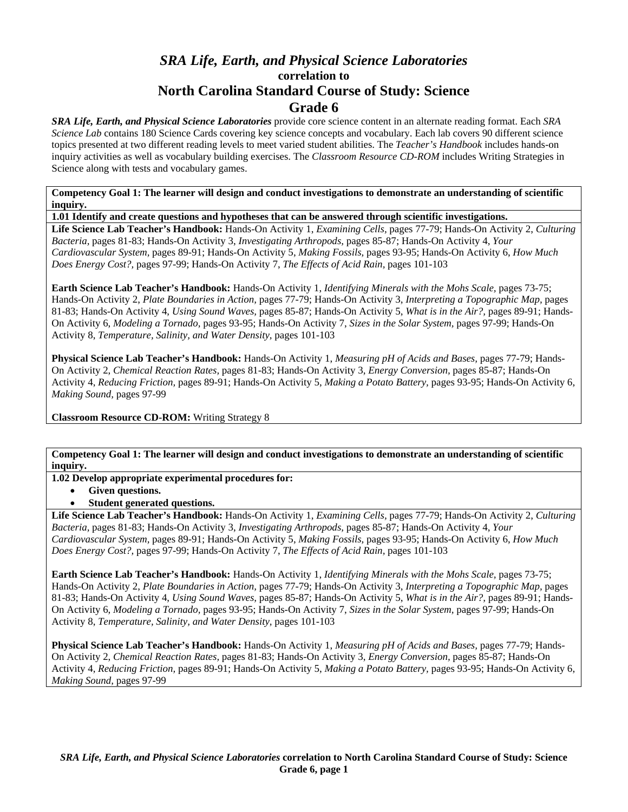# *SRA Life, Earth, and Physical Science Laboratories*  **correlation to North Carolina Standard Course of Study: Science Grade 6**

*SRA Life, Earth, and Physical Science Laboratories* provide core science content in an alternate reading format. Each *SRA Science Lab* contains 180 Science Cards covering key science concepts and vocabulary. Each lab covers 90 different science topics presented at two different reading levels to meet varied student abilities. The *Teacher's Handbook* includes hands-on inquiry activities as well as vocabulary building exercises. The *Classroom Resource CD-ROM* includes Writing Strategies in Science along with tests and vocabulary games.

**Competency Goal 1: The learner will design and conduct investigations to demonstrate an understanding of scientific inquiry.** 

**1.01 Identify and create questions and hypotheses that can be answered through scientific investigations.** 

**Life Science Lab Teacher's Handbook:** Hands-On Activity 1, *Examining Cells,* pages 77-79; Hands-On Activity 2, *Culturing Bacteria,* pages 81-83; Hands-On Activity 3, *Investigating Arthropods,* pages 85-87; Hands-On Activity 4, *Your Cardiovascular System,* pages 89-91; Hands-On Activity 5, *Making Fossils,* pages 93-95; Hands-On Activity 6, *How Much Does Energy Cost?,* pages 97-99; Hands-On Activity 7, *The Effects of Acid Rain,* pages 101-103

**Earth Science Lab Teacher's Handbook:** Hands-On Activity 1, *Identifying Minerals with the Mohs Scale,* pages 73-75; Hands-On Activity 2, *Plate Boundaries in Action,* pages 77-79; Hands-On Activity 3, *Interpreting a Topographic Map,* pages 81-83; Hands-On Activity 4, *Using Sound Waves,* pages 85-87; Hands-On Activity 5, *What is in the Air?,* pages 89-91; Hands-On Activity 6, *Modeling a Tornado,* pages 93-95; Hands-On Activity 7, *Sizes in the Solar System,* pages 97-99; Hands-On Activity 8, *Temperature, Salinity, and Water Density,* pages 101-103

**Physical Science Lab Teacher's Handbook:** Hands-On Activity 1, *Measuring pH of Acids and Bases,* pages 77-79; Hands-On Activity 2, *Chemical Reaction Rates,* pages 81-83; Hands-On Activity 3, *Energy Conversion,* pages 85-87; Hands-On Activity 4, *Reducing Friction,* pages 89-91; Hands-On Activity 5, *Making a Potato Battery,* pages 93-95; Hands-On Activity 6, *Making Sound,* pages 97-99

**Classroom Resource CD-ROM:** Writing Strategy 8

**Competency Goal 1: The learner will design and conduct investigations to demonstrate an understanding of scientific inquiry.** 

**1.02 Develop appropriate experimental procedures for:** 

- **Given questions.**
- **Student generated questions.**

**Life Science Lab Teacher's Handbook:** Hands-On Activity 1, *Examining Cells,* pages 77-79; Hands-On Activity 2, *Culturing Bacteria,* pages 81-83; Hands-On Activity 3, *Investigating Arthropods,* pages 85-87; Hands-On Activity 4, *Your Cardiovascular System,* pages 89-91; Hands-On Activity 5, *Making Fossils,* pages 93-95; Hands-On Activity 6, *How Much Does Energy Cost?,* pages 97-99; Hands-On Activity 7, *The Effects of Acid Rain,* pages 101-103

**Earth Science Lab Teacher's Handbook:** Hands-On Activity 1, *Identifying Minerals with the Mohs Scale,* pages 73-75; Hands-On Activity 2, *Plate Boundaries in Action,* pages 77-79; Hands-On Activity 3, *Interpreting a Topographic Map,* pages 81-83; Hands-On Activity 4, *Using Sound Waves,* pages 85-87; Hands-On Activity 5, *What is in the Air?,* pages 89-91; Hands-On Activity 6, *Modeling a Tornado,* pages 93-95; Hands-On Activity 7, *Sizes in the Solar System,* pages 97-99; Hands-On Activity 8, *Temperature, Salinity, and Water Density,* pages 101-103

**Physical Science Lab Teacher's Handbook:** Hands-On Activity 1, *Measuring pH of Acids and Bases,* pages 77-79; Hands-On Activity 2, *Chemical Reaction Rates,* pages 81-83; Hands-On Activity 3, *Energy Conversion,* pages 85-87; Hands-On Activity 4, *Reducing Friction,* pages 89-91; Hands-On Activity 5, *Making a Potato Battery,* pages 93-95; Hands-On Activity 6, *Making Sound,* pages 97-99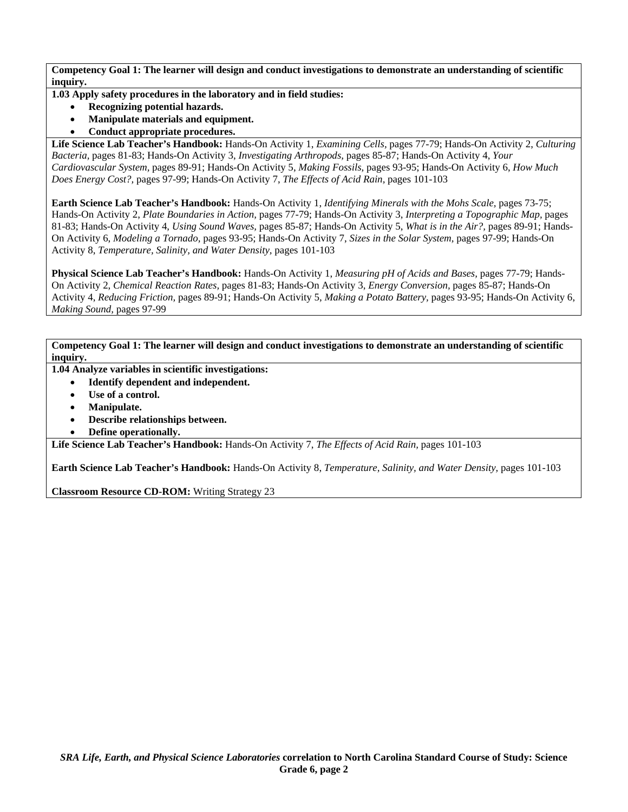**1.03 Apply safety procedures in the laboratory and in field studies:** 

- **Recognizing potential hazards.**
- **Manipulate materials and equipment.**
- **Conduct appropriate procedures.**

**Life Science Lab Teacher's Handbook:** Hands-On Activity 1, *Examining Cells,* pages 77-79; Hands-On Activity 2, *Culturing Bacteria,* pages 81-83; Hands-On Activity 3, *Investigating Arthropods,* pages 85-87; Hands-On Activity 4, *Your Cardiovascular System,* pages 89-91; Hands-On Activity 5, *Making Fossils,* pages 93-95; Hands-On Activity 6, *How Much Does Energy Cost?,* pages 97-99; Hands-On Activity 7, *The Effects of Acid Rain,* pages 101-103

**Earth Science Lab Teacher's Handbook:** Hands-On Activity 1, *Identifying Minerals with the Mohs Scale,* pages 73-75; Hands-On Activity 2, *Plate Boundaries in Action,* pages 77-79; Hands-On Activity 3, *Interpreting a Topographic Map,* pages 81-83; Hands-On Activity 4, *Using Sound Waves,* pages 85-87; Hands-On Activity 5, *What is in the Air?,* pages 89-91; Hands-On Activity 6, *Modeling a Tornado,* pages 93-95; Hands-On Activity 7, *Sizes in the Solar System,* pages 97-99; Hands-On Activity 8, *Temperature, Salinity, and Water Density,* pages 101-103

**Physical Science Lab Teacher's Handbook:** Hands-On Activity 1, *Measuring pH of Acids and Bases,* pages 77-79; Hands-On Activity 2, *Chemical Reaction Rates,* pages 81-83; Hands-On Activity 3, *Energy Conversion,* pages 85-87; Hands-On Activity 4, *Reducing Friction,* pages 89-91; Hands-On Activity 5, *Making a Potato Battery,* pages 93-95; Hands-On Activity 6, *Making Sound,* pages 97-99

**Competency Goal 1: The learner will design and conduct investigations to demonstrate an understanding of scientific inquiry.** 

- **1.04 Analyze variables in scientific investigations:** 
	- **Identify dependent and independent.**
	- Use of a control.
	- **Manipulate.**
	- **Describe relationships between.**
	- **Define operationally.**

**Life Science Lab Teacher's Handbook:** Hands-On Activity 7, *The Effects of Acid Rain,* pages 101-103

**Earth Science Lab Teacher's Handbook:** Hands-On Activity 8, *Temperature, Salinity, and Water Density,* pages 101-103

**Classroom Resource CD-ROM:** Writing Strategy 23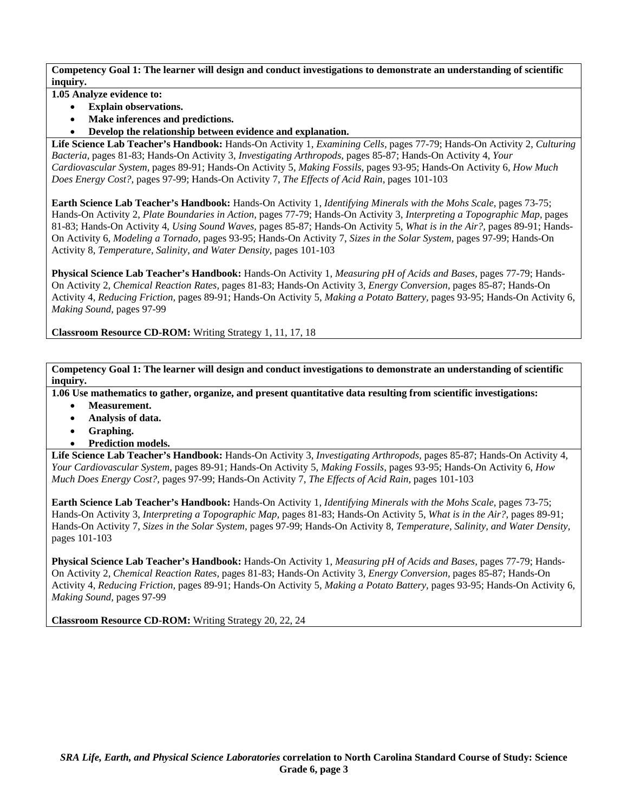**1.05 Analyze evidence to:** 

- **Explain observations.**
- **Make inferences and predictions.**
- **Develop the relationship between evidence and explanation.**

**Life Science Lab Teacher's Handbook:** Hands-On Activity 1, *Examining Cells,* pages 77-79; Hands-On Activity 2, *Culturing Bacteria,* pages 81-83; Hands-On Activity 3, *Investigating Arthropods,* pages 85-87; Hands-On Activity 4, *Your Cardiovascular System,* pages 89-91; Hands-On Activity 5, *Making Fossils,* pages 93-95; Hands-On Activity 6, *How Much Does Energy Cost?,* pages 97-99; Hands-On Activity 7, *The Effects of Acid Rain,* pages 101-103

**Earth Science Lab Teacher's Handbook:** Hands-On Activity 1, *Identifying Minerals with the Mohs Scale,* pages 73-75; Hands-On Activity 2, *Plate Boundaries in Action,* pages 77-79; Hands-On Activity 3, *Interpreting a Topographic Map,* pages 81-83; Hands-On Activity 4, *Using Sound Waves,* pages 85-87; Hands-On Activity 5, *What is in the Air?,* pages 89-91; Hands-On Activity 6, *Modeling a Tornado,* pages 93-95; Hands-On Activity 7, *Sizes in the Solar System,* pages 97-99; Hands-On Activity 8, *Temperature, Salinity, and Water Density,* pages 101-103

**Physical Science Lab Teacher's Handbook:** Hands-On Activity 1, *Measuring pH of Acids and Bases,* pages 77-79; Hands-On Activity 2, *Chemical Reaction Rates,* pages 81-83; Hands-On Activity 3, *Energy Conversion,* pages 85-87; Hands-On Activity 4, *Reducing Friction,* pages 89-91; Hands-On Activity 5, *Making a Potato Battery,* pages 93-95; Hands-On Activity 6, *Making Sound,* pages 97-99

**Classroom Resource CD-ROM:** Writing Strategy 1, 11, 17, 18

**Competency Goal 1: The learner will design and conduct investigations to demonstrate an understanding of scientific inquiry.** 

**1.06 Use mathematics to gather, organize, and present quantitative data resulting from scientific investigations:** 

- **Measurement.**
- **Analysis of data.**
- **Graphing.**
- **Prediction models.**

**Life Science Lab Teacher's Handbook:** Hands-On Activity 3, *Investigating Arthropods,* pages 85-87; Hands-On Activity 4, *Your Cardiovascular System,* pages 89-91; Hands-On Activity 5, *Making Fossils,* pages 93-95; Hands-On Activity 6, *How Much Does Energy Cost?,* pages 97-99; Hands-On Activity 7, *The Effects of Acid Rain,* pages 101-103

**Earth Science Lab Teacher's Handbook:** Hands-On Activity 1, *Identifying Minerals with the Mohs Scale,* pages 73-75; Hands-On Activity 3, *Interpreting a Topographic Map,* pages 81-83; Hands-On Activity 5, *What is in the Air?,* pages 89-91; Hands-On Activity 7, *Sizes in the Solar System,* pages 97-99; Hands-On Activity 8, *Temperature, Salinity, and Water Density,* pages 101-103

**Physical Science Lab Teacher's Handbook:** Hands-On Activity 1, *Measuring pH of Acids and Bases,* pages 77-79; Hands-On Activity 2, *Chemical Reaction Rates,* pages 81-83; Hands-On Activity 3, *Energy Conversion,* pages 85-87; Hands-On Activity 4, *Reducing Friction,* pages 89-91; Hands-On Activity 5, *Making a Potato Battery,* pages 93-95; Hands-On Activity 6, *Making Sound,* pages 97-99

**Classroom Resource CD-ROM:** Writing Strategy 20, 22, 24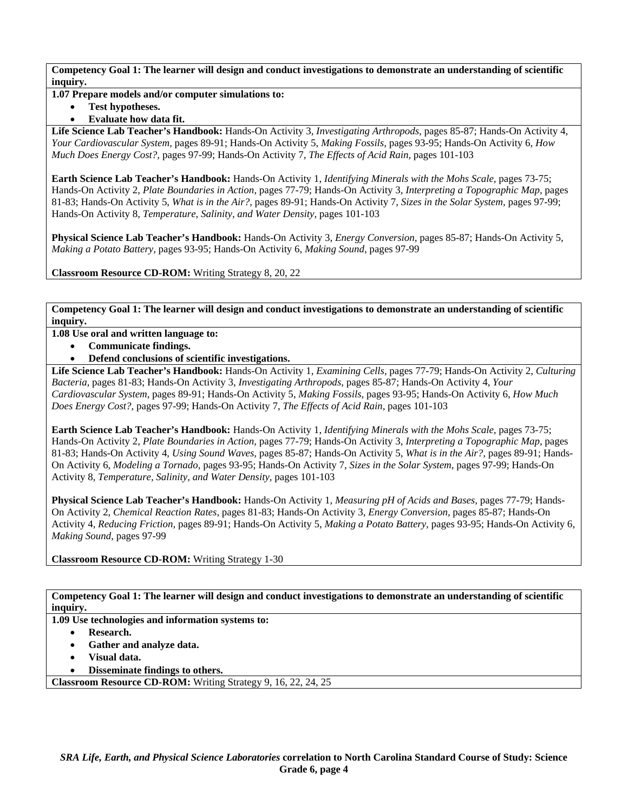### **1.07 Prepare models and/or computer simulations to:**

• **Test hypotheses.** 

## • **Evaluate how data fit.**

**Life Science Lab Teacher's Handbook:** Hands-On Activity 3, *Investigating Arthropods,* pages 85-87; Hands-On Activity 4, *Your Cardiovascular System,* pages 89-91; Hands-On Activity 5, *Making Fossils,* pages 93-95; Hands-On Activity 6, *How Much Does Energy Cost?,* pages 97-99; Hands-On Activity 7, *The Effects of Acid Rain,* pages 101-103

**Earth Science Lab Teacher's Handbook:** Hands-On Activity 1, *Identifying Minerals with the Mohs Scale,* pages 73-75; Hands-On Activity 2, *Plate Boundaries in Action,* pages 77-79; Hands-On Activity 3, *Interpreting a Topographic Map,* pages 81-83; Hands-On Activity 5, *What is in the Air?,* pages 89-91; Hands-On Activity 7, *Sizes in the Solar System,* pages 97-99; Hands-On Activity 8, *Temperature, Salinity, and Water Density,* pages 101-103

**Physical Science Lab Teacher's Handbook:** Hands-On Activity 3, *Energy Conversion,* pages 85-87; Hands-On Activity 5, *Making a Potato Battery,* pages 93-95; Hands-On Activity 6, *Making Sound,* pages 97-99

**Classroom Resource CD-ROM:** Writing Strategy 8, 20, 22

**Competency Goal 1: The learner will design and conduct investigations to demonstrate an understanding of scientific inquiry.** 

**1.08 Use oral and written language to:** 

- **Communicate findings.**
- **Defend conclusions of scientific investigations.**

**Life Science Lab Teacher's Handbook:** Hands-On Activity 1, *Examining Cells,* pages 77-79; Hands-On Activity 2, *Culturing Bacteria,* pages 81-83; Hands-On Activity 3, *Investigating Arthropods,* pages 85-87; Hands-On Activity 4, *Your Cardiovascular System,* pages 89-91; Hands-On Activity 5, *Making Fossils,* pages 93-95; Hands-On Activity 6, *How Much Does Energy Cost?,* pages 97-99; Hands-On Activity 7, *The Effects of Acid Rain,* pages 101-103

**Earth Science Lab Teacher's Handbook:** Hands-On Activity 1, *Identifying Minerals with the Mohs Scale,* pages 73-75; Hands-On Activity 2, *Plate Boundaries in Action,* pages 77-79; Hands-On Activity 3, *Interpreting a Topographic Map,* pages 81-83; Hands-On Activity 4, *Using Sound Waves,* pages 85-87; Hands-On Activity 5, *What is in the Air?,* pages 89-91; Hands-On Activity 6, *Modeling a Tornado,* pages 93-95; Hands-On Activity 7, *Sizes in the Solar System,* pages 97-99; Hands-On Activity 8, *Temperature, Salinity, and Water Density,* pages 101-103

**Physical Science Lab Teacher's Handbook:** Hands-On Activity 1, *Measuring pH of Acids and Bases,* pages 77-79; Hands-On Activity 2, *Chemical Reaction Rates,* pages 81-83; Hands-On Activity 3, *Energy Conversion,* pages 85-87; Hands-On Activity 4, *Reducing Friction,* pages 89-91; Hands-On Activity 5, *Making a Potato Battery,* pages 93-95; Hands-On Activity 6, *Making Sound,* pages 97-99

**Classroom Resource CD-ROM:** Writing Strategy 1-30

**Competency Goal 1: The learner will design and conduct investigations to demonstrate an understanding of scientific inquiry.** 

**1.09 Use technologies and information systems to:** 

- **Research.**
- **Gather and analyze data.**
- **Visual data.**
- **Disseminate findings to others.**

**Classroom Resource CD-ROM:** Writing Strategy 9, 16, 22, 24, 25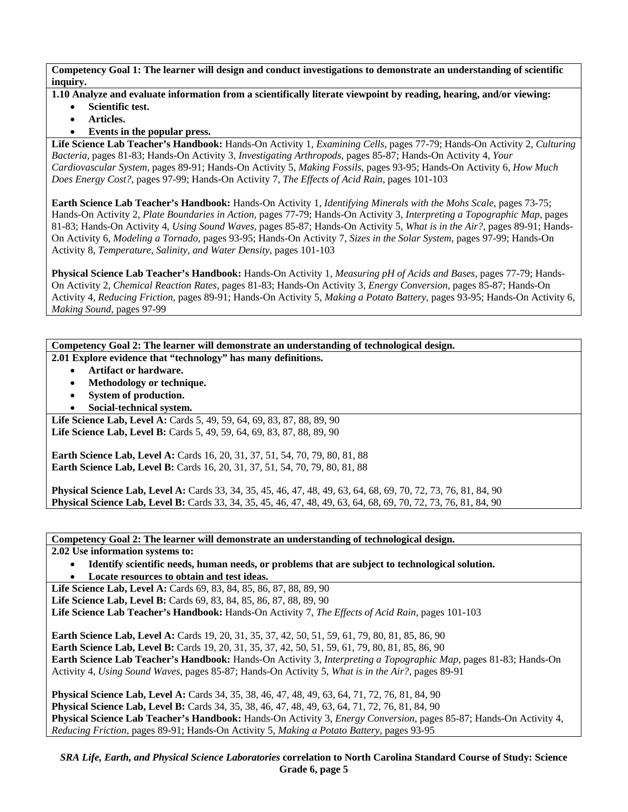- **1.10 Analyze and evaluate information from a scientifically literate viewpoint by reading, hearing, and/or viewing:** 
	- **Scientific test.**
	- **Articles.**
	- **Events in the popular press.**

**Life Science Lab Teacher's Handbook:** Hands-On Activity 1, *Examining Cells,* pages 77-79; Hands-On Activity 2, *Culturing Bacteria,* pages 81-83; Hands-On Activity 3, *Investigating Arthropods,* pages 85-87; Hands-On Activity 4, *Your Cardiovascular System,* pages 89-91; Hands-On Activity 5, *Making Fossils,* pages 93-95; Hands-On Activity 6, *How Much Does Energy Cost?,* pages 97-99; Hands-On Activity 7, *The Effects of Acid Rain,* pages 101-103

**Earth Science Lab Teacher's Handbook:** Hands-On Activity 1, *Identifying Minerals with the Mohs Scale,* pages 73-75; Hands-On Activity 2, *Plate Boundaries in Action,* pages 77-79; Hands-On Activity 3, *Interpreting a Topographic Map,* pages 81-83; Hands-On Activity 4, *Using Sound Waves,* pages 85-87; Hands-On Activity 5, *What is in the Air?,* pages 89-91; Hands-On Activity 6, *Modeling a Tornado,* pages 93-95; Hands-On Activity 7, *Sizes in the Solar System,* pages 97-99; Hands-On Activity 8, *Temperature, Salinity, and Water Density,* pages 101-103

**Physical Science Lab Teacher's Handbook:** Hands-On Activity 1, *Measuring pH of Acids and Bases,* pages 77-79; Hands-On Activity 2, *Chemical Reaction Rates,* pages 81-83; Hands-On Activity 3, *Energy Conversion,* pages 85-87; Hands-On Activity 4, *Reducing Friction,* pages 89-91; Hands-On Activity 5, *Making a Potato Battery,* pages 93-95; Hands-On Activity 6, *Making Sound,* pages 97-99

**Competency Goal 2: The learner will demonstrate an understanding of technological design. 2.01 Explore evidence that "technology" has many definitions.** 

- **Artifact or hardware.**
- **Methodology or technique.**
- **System of production.**
- **Social-technical system.**

Life Science Lab, Level A: Cards 5, 49, 59, 64, 69, 83, 87, 88, 89, 90 Life Science Lab, Level B: Cards 5, 49, 59, 64, 69, 83, 87, 88, 89, 90

**Earth Science Lab, Level A: Cards 16, 20, 31, 37, 51, 54, 70, 79, 80, 81, 88 Earth Science Lab, Level B:** Cards 16, 20, 31, 37, 51, 54, 70, 79, 80, 81, 88

**Physical Science Lab, Level A:** Cards 33, 34, 35, 45, 46, 47, 48, 49, 63, 64, 68, 69, 70, 72, 73, 76, 81, 84, 90 **Physical Science Lab, Level B:** Cards 33, 34, 35, 45, 46, 47, 48, 49, 63, 64, 68, 69, 70, 72, 73, 76, 81, 84, 90

**Competency Goal 2: The learner will demonstrate an understanding of technological design.** 

**2.02 Use information systems to:** 

• **Identify scientific needs, human needs, or problems that are subject to technological solution.**  • **Locate resources to obtain and test ideas.** 

**Life Science Lab, Level A: Cards 69, 83, 84, 85, 86, 87, 88, 89, 90** Life Science Lab, Level B: Cards 69, 83, 84, 85, 86, 87, 88, 89, 90 **Life Science Lab Teacher's Handbook:** Hands-On Activity 7, *The Effects of Acid Rain,* pages 101-103

**Earth Science Lab, Level A:** Cards 19, 20, 31, 35, 37, 42, 50, 51, 59, 61, 79, 80, 81, 85, 86, 90 **Earth Science Lab, Level B:** Cards 19, 20, 31, 35, 37, 42, 50, 51, 59, 61, 79, 80, 81, 85, 86, 90 **Earth Science Lab Teacher's Handbook:** Hands-On Activity 3, *Interpreting a Topographic Map,* pages 81-83; Hands-On Activity 4, *Using Sound Waves,* pages 85-87; Hands-On Activity 5, *What is in the Air?,* pages 89-91

**Physical Science Lab, Level A:** Cards 34, 35, 38, 46, 47, 48, 49, 63, 64, 71, 72, 76, 81, 84, 90 **Physical Science Lab, Level B:** Cards 34, 35, 38, 46, 47, 48, 49, 63, 64, 71, 72, 76, 81, 84, 90 **Physical Science Lab Teacher's Handbook:** Hands-On Activity 3, *Energy Conversion,* pages 85-87; Hands-On Activity 4, *Reducing Friction,* pages 89-91; Hands-On Activity 5, *Making a Potato Battery,* pages 93-95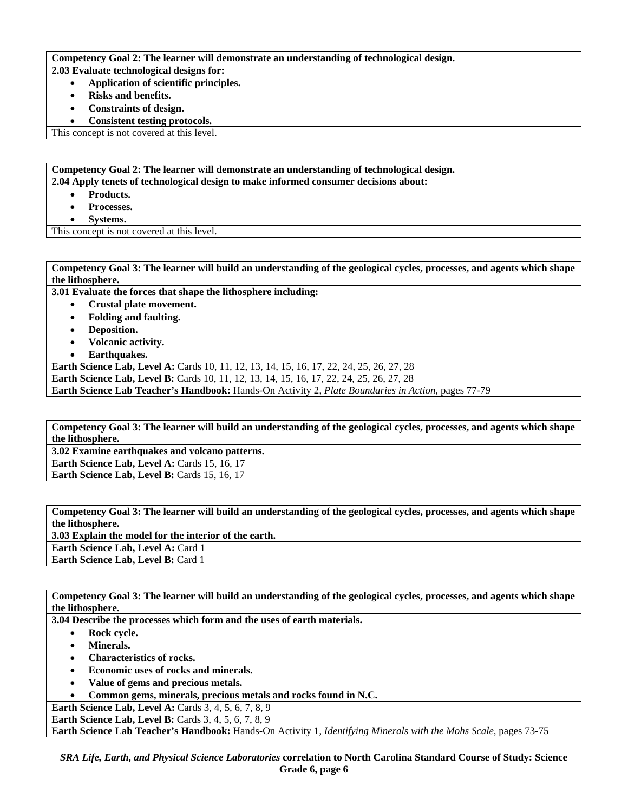#### **Competency Goal 2: The learner will demonstrate an understanding of technological design.**

**2.03 Evaluate technological designs for:** 

- **Application of scientific principles.** 
	- **Risks and benefits.**
- **Constraints of design.**
- **Consistent testing protocols.**

This concept is not covered at this level.

**Competency Goal 2: The learner will demonstrate an understanding of technological design.** 

**2.04 Apply tenets of technological design to make informed consumer decisions about:** 

- **Products.**
- **Processes.**
- **Systems.**

This concept is not covered at this level.

**Competency Goal 3: The learner will build an understanding of the geological cycles, processes, and agents which shape the lithosphere.** 

**3.01 Evaluate the forces that shape the lithosphere including:** 

- **Crustal plate movement.**
- **Folding and faulting.**
- **Deposition.**
- **Volcanic activity.**
- **Earthquakes.**

Earth Science Lab, Level A: Cards 10, 11, 12, 13, 14, 15, 16, 17, 22, 24, 25, 26, 27, 28 **Earth Science Lab, Level B:** Cards 10, 11, 12, 13, 14, 15, 16, 17, 22, 24, 25, 26, 27, 28

**Earth Science Lab Teacher's Handbook:** Hands-On Activity 2, *Plate Boundaries in Action,* pages 77-79

**Competency Goal 3: The learner will build an understanding of the geological cycles, processes, and agents which shape the lithosphere.** 

**3.02 Examine earthquakes and volcano patterns.** 

**Earth Science Lab, Level A: Cards 15, 16, 17 Earth Science Lab, Level B: Cards 15, 16, 17** 

**Competency Goal 3: The learner will build an understanding of the geological cycles, processes, and agents which shape the lithosphere.** 

**3.03 Explain the model for the interior of the earth. Earth Science Lab, Level A: Card 1 Earth Science Lab, Level B: Card 1** 

**Competency Goal 3: The learner will build an understanding of the geological cycles, processes, and agents which shape the lithosphere.** 

**3.04 Describe the processes which form and the uses of earth materials.** 

- **Rock cycle.**
- **Minerals.**
- **Characteristics of rocks.**
- **Economic uses of rocks and minerals.**
- **Value of gems and precious metals.**
- **Common gems, minerals, precious metals and rocks found in N.C.**

**Earth Science Lab, Level A: Cards 3, 4, 5, 6, 7, 8, 9 Earth Science Lab, Level B:** Cards 3, 4, 5, 6, 7, 8, 9

**Earth Science Lab Teacher's Handbook:** Hands-On Activity 1, *Identifying Minerals with the Mohs Scale,* pages 73-75

*SRA Life, Earth, and Physical Science Laboratories* **correlation to North Carolina Standard Course of Study: Science Grade 6, page 6**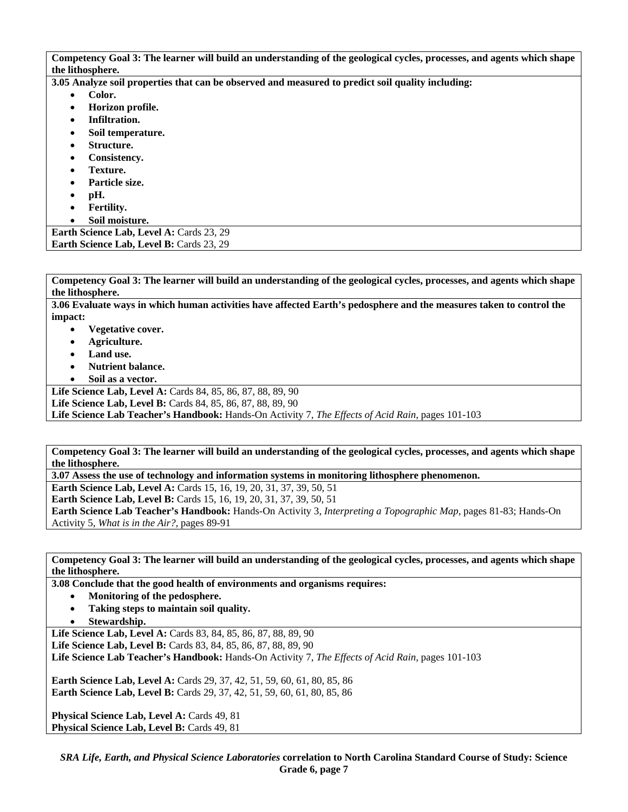**Competency Goal 3: The learner will build an understanding of the geological cycles, processes, and agents which shape the lithosphere.** 

**3.05 Analyze soil properties that can be observed and measured to predict soil quality including:** 

- **Color.** 
	- **Horizon profile.**
- **Infiltration.**
- **Soil temperature.**
- **Structure.**
- **Consistency.**
- **Texture.**
- **Particle size.**
- **pH.**
- **Fertility.**
- **Soil moisture.**

**Earth Science Lab, Level A: Cards 23, 29** Earth Science Lab, Level B: Cards 23, 29

**Competency Goal 3: The learner will build an understanding of the geological cycles, processes, and agents which shape the lithosphere.** 

**3.06 Evaluate ways in which human activities have affected Earth's pedosphere and the measures taken to control the impact:** 

- **Vegetative cover.**
- **Agriculture.**
- **Land use.**
- **Nutrient balance.**
- **Soil as a vector.**

**Life Science Lab, Level A:** Cards 84, 85, 86, 87, 88, 89, 90

**Life Science Lab, Level B:** Cards 84, 85, 86, 87, 88, 89, 90

**Life Science Lab Teacher's Handbook:** Hands-On Activity 7, *The Effects of Acid Rain,* pages 101-103

**Competency Goal 3: The learner will build an understanding of the geological cycles, processes, and agents which shape the lithosphere.** 

**3.07 Assess the use of technology and information systems in monitoring lithosphere phenomenon.** 

**Earth Science Lab, Level A: Cards 15, 16, 19, 20, 31, 37, 39, 50, 51** 

**Earth Science Lab, Level B:** Cards 15, 16, 19, 20, 31, 37, 39, 50, 51

**Earth Science Lab Teacher's Handbook:** Hands-On Activity 3, *Interpreting a Topographic Map,* pages 81-83; Hands-On Activity 5, *What is in the Air?,* pages 89-91

**Competency Goal 3: The learner will build an understanding of the geological cycles, processes, and agents which shape the lithosphere.** 

**3.08 Conclude that the good health of environments and organisms requires:** 

- **Monitoring of the pedosphere.**
- **Taking steps to maintain soil quality.**
- **Stewardship.**

**Life Science Lab, Level A:** Cards 83, 84, 85, 86, 87, 88, 89, 90 **Life Science Lab, Level B:** Cards 83, 84, 85, 86, 87, 88, 89, 90 **Life Science Lab Teacher's Handbook:** Hands-On Activity 7, *The Effects of Acid Rain,* pages 101-103

**Earth Science Lab, Level A: Cards 29, 37, 42, 51, 59, 60, 61, 80, 85, 86 Earth Science Lab, Level B:** Cards 29, 37, 42, 51, 59, 60, 61, 80, 85, 86

Physical Science Lab, Level A: Cards 49, 81 Physical Science Lab, Level B: Cards 49, 81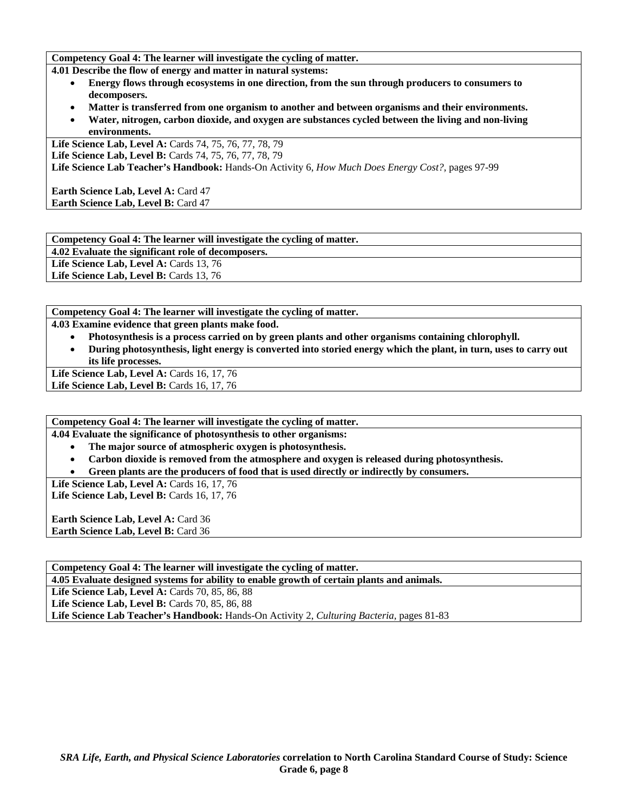**Competency Goal 4: The learner will investigate the cycling of matter.** 

**4.01 Describe the flow of energy and matter in natural systems:** 

- **Energy flows through ecosystems in one direction, from the sun through producers to consumers to decomposers.**
- **Matter is transferred from one organism to another and between organisms and their environments.**
- **Water, nitrogen, carbon dioxide, and oxygen are substances cycled between the living and non-living environments.**

**Life Science Lab, Level A:** Cards 74, 75, 76, 77, 78, 79 **Life Science Lab, Level B:** Cards 74, 75, 76, 77, 78, 79 **Life Science Lab Teacher's Handbook:** Hands-On Activity 6, *How Much Does Energy Cost?,* pages 97-99

**Earth Science Lab, Level A: Card 47 Earth Science Lab, Level B: Card 47** 

**Competency Goal 4: The learner will investigate the cycling of matter.** 

**4.02 Evaluate the significant role of decomposers.** 

Life Science Lab, Level A: Cards 13, 76

Life Science Lab, Level B: Cards 13, 76

**Competency Goal 4: The learner will investigate the cycling of matter.** 

**4.03 Examine evidence that green plants make food.** 

- **Photosynthesis is a process carried on by green plants and other organisms containing chlorophyll.**
- **During photosynthesis, light energy is converted into storied energy which the plant, in turn, uses to carry out its life processes.**

Life Science Lab, Level A: Cards 16, 17, 76 **Life Science Lab, Level B: Cards 16, 17, 76** 

**Competency Goal 4: The learner will investigate the cycling of matter.** 

**4.04 Evaluate the significance of photosynthesis to other organisms:** 

- **The major source of atmospheric oxygen is photosynthesis.**
- **Carbon dioxide is removed from the atmosphere and oxygen is released during photosynthesis.**
- **Green plants are the producers of food that is used directly or indirectly by consumers.**

Life Science Lab, Level A: Cards 16, 17, 76

Life Science Lab, Level B: Cards 16, 17, 76

**Earth Science Lab, Level A: Card 36** Earth Science Lab, Level B: Card 36

**Competency Goal 4: The learner will investigate the cycling of matter.** 

**4.05 Evaluate designed systems for ability to enable growth of certain plants and animals.** 

Life Science Lab, Level A: Cards 70, 85, 86, 88

Life Science Lab, Level B: Cards 70, 85, 86, 88

**Life Science Lab Teacher's Handbook:** Hands-On Activity 2, *Culturing Bacteria,* pages 81-83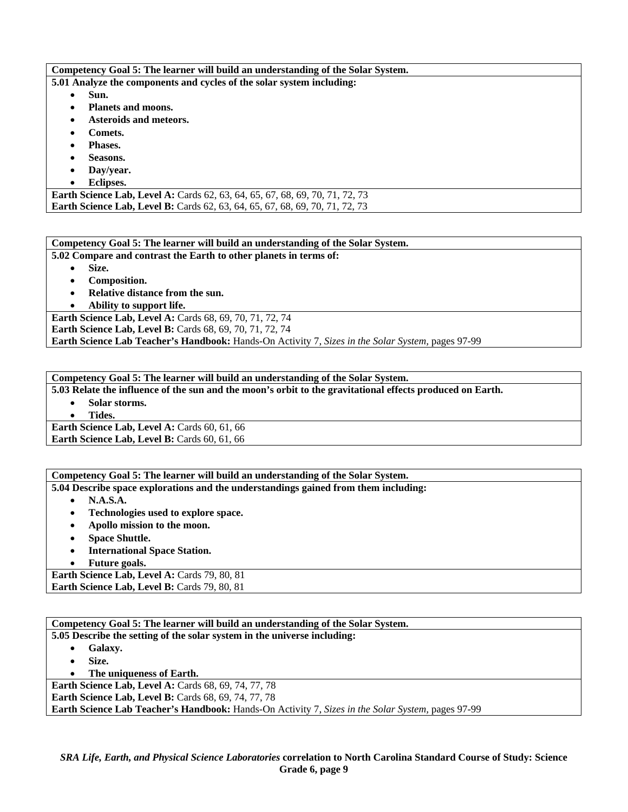### **Competency Goal 5: The learner will build an understanding of the Solar System.**

**5.01 Analyze the components and cycles of the solar system including:** 

- **Sun.**
- **Planets and moons.**
- **Asteroids and meteors.**
- **Comets.**
- **Phases.**
- **Seasons.**
- **Day/year.**
- **Eclipses.**

**Earth Science Lab, Level A: Cards 62, 63, 64, 65, 67, 68, 69, 70, 71, 72, 73 Earth Science Lab, Level B:** Cards 62, 63, 64, 65, 67, 68, 69, 70, 71, 72, 73

### **Competency Goal 5: The learner will build an understanding of the Solar System.**

**5.02 Compare and contrast the Earth to other planets in terms of:** 

• **Size.** 

- **Composition.**
- **Relative distance from the sun.**
- **Ability to support life.**

Earth Science Lab, Level A: Cards 68, 69, 70, 71, 72, 74 **Earth Science Lab, Level B:** Cards 68, 69, 70, 71, 72, 74 **Earth Science Lab Teacher's Handbook:** Hands-On Activity 7, *Sizes in the Solar System,* pages 97-99

**Competency Goal 5: The learner will build an understanding of the Solar System.** 

**5.03 Relate the influence of the sun and the moon's orbit to the gravitational effects produced on Earth.** 

- **Solar storms.** 
	- **Tides.**

**Earth Science Lab, Level A: Cards 60, 61, 66 Earth Science Lab, Level B: Cards 60, 61, 66** 

## **Competency Goal 5: The learner will build an understanding of the Solar System.**

**5.04 Describe space explorations and the understandings gained from them including:** 

- **N.A.S.A.**
- **Technologies used to explore space.**
- **Apollo mission to the moon.**
- **Space Shuttle.**
- **International Space Station.**
- **Future goals.**

Earth Science Lab, Level A: Cards 79, 80, 81 Earth Science Lab, Level B: Cards 79, 80, 81

**Competency Goal 5: The learner will build an understanding of the Solar System. 5.05 Describe the setting of the solar system in the universe including:**  • **Galaxy.**  • **Size.**  • **The uniqueness of Earth. Earth Science Lab, Level A: Cards 68, 69, 74, 77, 78 Earth Science Lab, Level B: Cards 68, 69, 74, 77, 78 Earth Science Lab Teacher's Handbook:** Hands-On Activity 7, *Sizes in the Solar System,* pages 97-99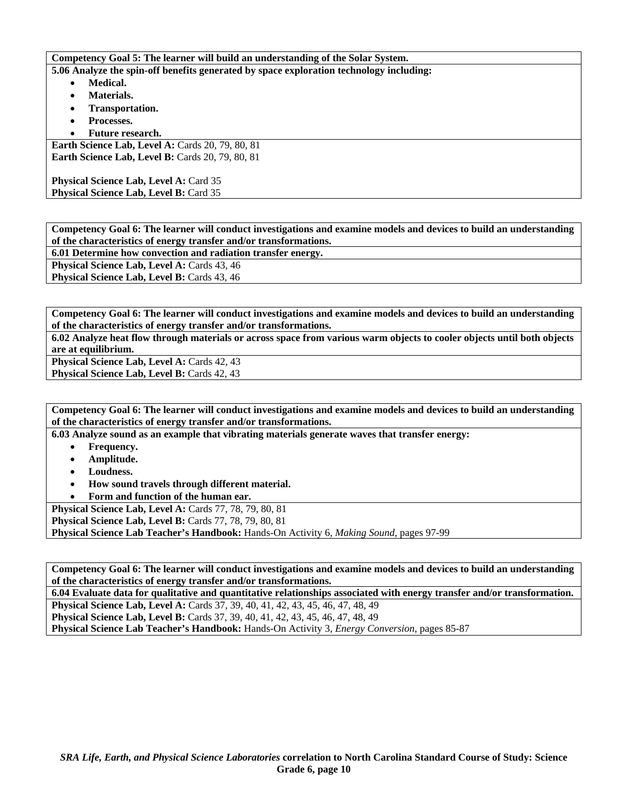**Competency Goal 5: The learner will build an understanding of the Solar System.** 

**5.06 Analyze the spin-off benefits generated by space exploration technology including:** 

- **Medical.**
- **Materials.**
- **Transportation.**
- **Processes.**
- **Future research.**

**Earth Science Lab, Level A: Cards 20, 79, 80, 81 Earth Science Lab, Level B: Cards 20, 79, 80, 81** 

**Physical Science Lab, Level A: Card 35** Physical Science Lab, Level B: Card 35

**Competency Goal 6: The learner will conduct investigations and examine models and devices to build an understanding of the characteristics of energy transfer and/or transformations.** 

**6.01 Determine how convection and radiation transfer energy.** 

**Physical Science Lab, Level A: Cards 43, 46 Physical Science Lab, Level B: Cards 43, 46** 

**Competency Goal 6: The learner will conduct investigations and examine models and devices to build an understanding of the characteristics of energy transfer and/or transformations.** 

**6.02 Analyze heat flow through materials or across space from various warm objects to cooler objects until both objects are at equilibrium.** 

Physical Science Lab, Level A: Cards 42, 43

**Physical Science Lab, Level B: Cards 42, 43** 

**Competency Goal 6: The learner will conduct investigations and examine models and devices to build an understanding of the characteristics of energy transfer and/or transformations.** 

**6.03 Analyze sound as an example that vibrating materials generate waves that transfer energy:** 

- **Frequency.**
- **Amplitude.**
- **Loudness.**
- **How sound travels through different material.**
- **Form and function of the human ear.**

**Physical Science Lab, Level A:** Cards 77, 78, 79, 80, 81

**Physical Science Lab, Level B:** Cards 77, 78, 79, 80, 81

**Physical Science Lab Teacher's Handbook:** Hands-On Activity 6, *Making Sound,* pages 97-99

**Competency Goal 6: The learner will conduct investigations and examine models and devices to build an understanding of the characteristics of energy transfer and/or transformations.** 

**6.04 Evaluate data for qualitative and quantitative relationships associated with energy transfer and/or transformation.** 

**Physical Science Lab, Level A:** Cards 37, 39, 40, 41, 42, 43, 45, 46, 47, 48, 49 **Physical Science Lab, Level B:** Cards 37, 39, 40, 41, 42, 43, 45, 46, 47, 48, 49

**Physical Science Lab Teacher's Handbook:** Hands-On Activity 3, *Energy Conversion,* pages 85-87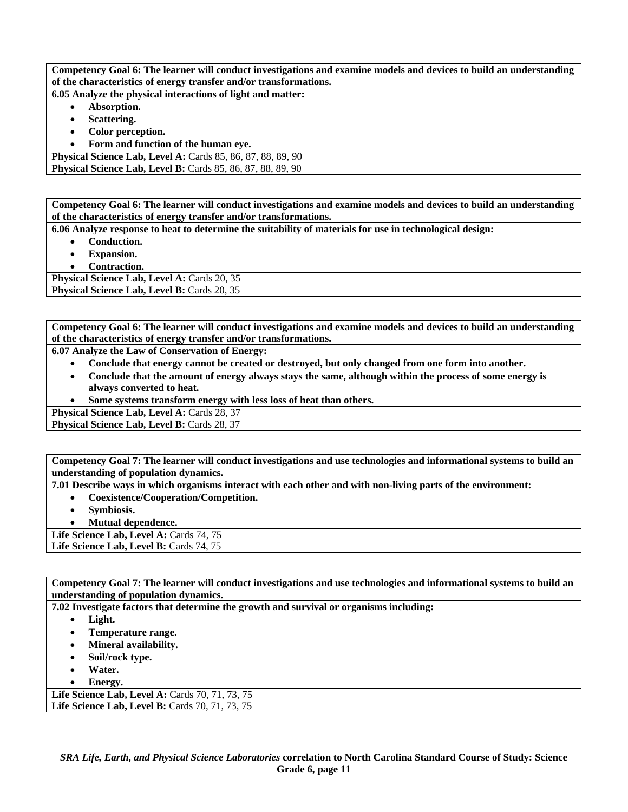**Competency Goal 6: The learner will conduct investigations and examine models and devices to build an understanding of the characteristics of energy transfer and/or transformations.** 

**6.05 Analyze the physical interactions of light and matter:** 

- **Absorption.**
- **Scattering.**
- **Color perception.**
- **Form and function of the human eye.**

**Physical Science Lab, Level A: Cards 85, 86, 87, 88, 89, 90 Physical Science Lab, Level B:** Cards 85, 86, 87, 88, 89, 90

**Competency Goal 6: The learner will conduct investigations and examine models and devices to build an understanding of the characteristics of energy transfer and/or transformations.** 

**6.06 Analyze response to heat to determine the suitability of materials for use in technological design:** 

- **Conduction.**
- **Expansion.**
- **Contraction.**

Physical Science Lab, Level A: Cards 20, 35 **Physical Science Lab, Level B: Cards 20, 35** 

**Competency Goal 6: The learner will conduct investigations and examine models and devices to build an understanding of the characteristics of energy transfer and/or transformations.** 

**6.07 Analyze the Law of Conservation of Energy:** 

- **Conclude that energy cannot be created or destroyed, but only changed from one form into another.**
- **Conclude that the amount of energy always stays the same, although within the process of some energy is always converted to heat.**
- **Some systems transform energy with less loss of heat than others.**

Physical Science Lab, Level A: Cards 28, 37

Physical Science Lab, Level B: Cards 28, 37

**Competency Goal 7: The learner will conduct investigations and use technologies and informational systems to build an understanding of population dynamics.** 

**7.01 Describe ways in which organisms interact with each other and with non-living parts of the environment:** 

- **Coexistence/Cooperation/Competition.**
- **Symbiosis.**
- **Mutual dependence.**

Life Science Lab, Level A: Cards 74, 75 Life Science Lab, Level B: Cards 74, 75

**Competency Goal 7: The learner will conduct investigations and use technologies and informational systems to build an understanding of population dynamics.** 

**7.02 Investigate factors that determine the growth and survival or organisms including:** 

- **Light.**
- **Temperature range.**
- **Mineral availability.**
- **Soil/rock type.**
- **Water.**
- **Energy.**

Life Science Lab, Level A: Cards 70, 71, 73, 75 **Life Science Lab, Level B: Cards 70, 71, 73, 75**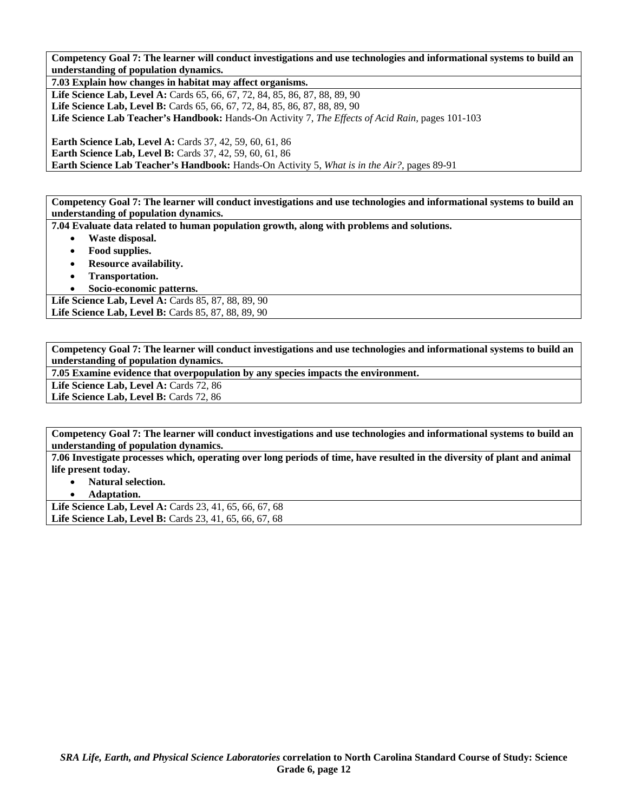**Competency Goal 7: The learner will conduct investigations and use technologies and informational systems to build an understanding of population dynamics.** 

**7.03 Explain how changes in habitat may affect organisms. Life Science Lab, Level A: Cards 65, 66, 67, 72, 84, 85, 86, 87, 88, 89, 90** Life Science Lab, Level B: Cards 65, 66, 67, 72, 84, 85, 86, 87, 88, 89, 90 **Life Science Lab Teacher's Handbook:** Hands-On Activity 7, *The Effects of Acid Rain,* pages 101-103

**Earth Science Lab, Level A:** Cards 37, 42, 59, 60, 61, 86 **Earth Science Lab, Level B:** Cards 37, 42, 59, 60, 61, 86 **Earth Science Lab Teacher's Handbook:** Hands-On Activity 5, *What is in the Air?,* pages 89-91

**Competency Goal 7: The learner will conduct investigations and use technologies and informational systems to build an understanding of population dynamics.** 

**7.04 Evaluate data related to human population growth, along with problems and solutions.** 

- **Waste disposal.**
- **Food supplies.**
- **Resource availability.**
- **Transportation.**

• **Socio-economic patterns.** 

**Life Science Lab, Level A: Cards 85, 87, 88, 89, 90** Life Science Lab, Level B: Cards 85, 87, 88, 89, 90

**Competency Goal 7: The learner will conduct investigations and use technologies and informational systems to build an understanding of population dynamics.** 

**7.05 Examine evidence that overpopulation by any species impacts the environment.** 

Life Science Lab, Level A: Cards 72, 86

Life Science Lab, Level B: Cards 72, 86

**Competency Goal 7: The learner will conduct investigations and use technologies and informational systems to build an understanding of population dynamics.** 

**7.06 Investigate processes which, operating over long periods of time, have resulted in the diversity of plant and animal life present today.** 

- **Natural selection.**
- **Adaptation.**

Life Science Lab, Level A: Cards 23, 41, 65, 66, 67, 68 Life Science Lab, Level B: Cards 23, 41, 65, 66, 67, 68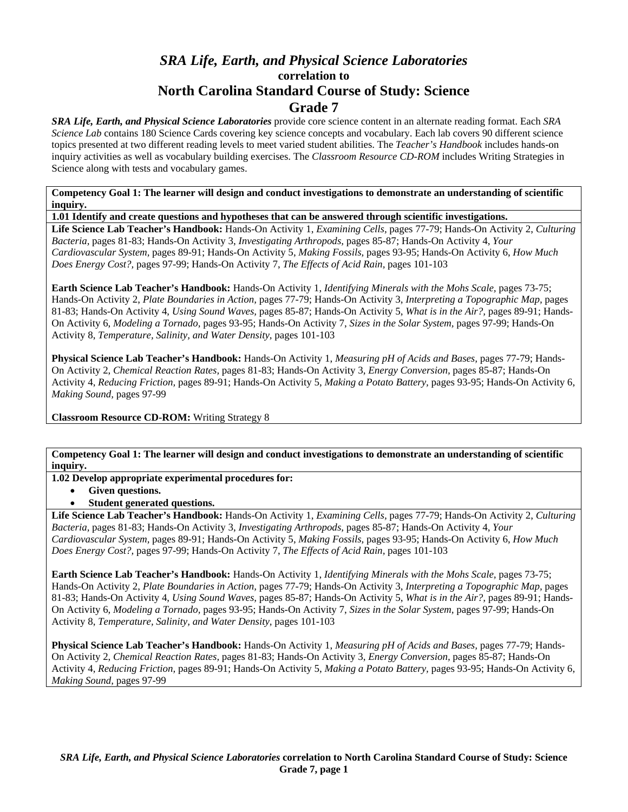# *SRA Life, Earth, and Physical Science Laboratories*  **correlation to North Carolina Standard Course of Study: Science Grade 7**

*SRA Life, Earth, and Physical Science Laboratories* provide core science content in an alternate reading format. Each *SRA Science Lab* contains 180 Science Cards covering key science concepts and vocabulary. Each lab covers 90 different science topics presented at two different reading levels to meet varied student abilities. The *Teacher's Handbook* includes hands-on inquiry activities as well as vocabulary building exercises. The *Classroom Resource CD-ROM* includes Writing Strategies in Science along with tests and vocabulary games.

**Competency Goal 1: The learner will design and conduct investigations to demonstrate an understanding of scientific inquiry.** 

**1.01 Identify and create questions and hypotheses that can be answered through scientific investigations.** 

**Life Science Lab Teacher's Handbook:** Hands-On Activity 1, *Examining Cells,* pages 77-79; Hands-On Activity 2, *Culturing Bacteria,* pages 81-83; Hands-On Activity 3, *Investigating Arthropods,* pages 85-87; Hands-On Activity 4, *Your Cardiovascular System,* pages 89-91; Hands-On Activity 5, *Making Fossils,* pages 93-95; Hands-On Activity 6, *How Much Does Energy Cost?,* pages 97-99; Hands-On Activity 7, *The Effects of Acid Rain,* pages 101-103

**Earth Science Lab Teacher's Handbook:** Hands-On Activity 1, *Identifying Minerals with the Mohs Scale,* pages 73-75; Hands-On Activity 2, *Plate Boundaries in Action,* pages 77-79; Hands-On Activity 3, *Interpreting a Topographic Map,* pages 81-83; Hands-On Activity 4, *Using Sound Waves,* pages 85-87; Hands-On Activity 5, *What is in the Air?,* pages 89-91; Hands-On Activity 6, *Modeling a Tornado,* pages 93-95; Hands-On Activity 7, *Sizes in the Solar System,* pages 97-99; Hands-On Activity 8, *Temperature, Salinity, and Water Density,* pages 101-103

**Physical Science Lab Teacher's Handbook:** Hands-On Activity 1, *Measuring pH of Acids and Bases,* pages 77-79; Hands-On Activity 2, *Chemical Reaction Rates,* pages 81-83; Hands-On Activity 3, *Energy Conversion,* pages 85-87; Hands-On Activity 4, *Reducing Friction,* pages 89-91; Hands-On Activity 5, *Making a Potato Battery,* pages 93-95; Hands-On Activity 6, *Making Sound,* pages 97-99

**Classroom Resource CD-ROM:** Writing Strategy 8

**Competency Goal 1: The learner will design and conduct investigations to demonstrate an understanding of scientific inquiry.** 

**1.02 Develop appropriate experimental procedures for:** 

- **Given questions.**
- **Student generated questions.**

**Life Science Lab Teacher's Handbook:** Hands-On Activity 1, *Examining Cells,* pages 77-79; Hands-On Activity 2, *Culturing Bacteria,* pages 81-83; Hands-On Activity 3, *Investigating Arthropods,* pages 85-87; Hands-On Activity 4, *Your Cardiovascular System,* pages 89-91; Hands-On Activity 5, *Making Fossils,* pages 93-95; Hands-On Activity 6, *How Much Does Energy Cost?,* pages 97-99; Hands-On Activity 7, *The Effects of Acid Rain,* pages 101-103

**Earth Science Lab Teacher's Handbook:** Hands-On Activity 1, *Identifying Minerals with the Mohs Scale,* pages 73-75; Hands-On Activity 2, *Plate Boundaries in Action,* pages 77-79; Hands-On Activity 3, *Interpreting a Topographic Map,* pages 81-83; Hands-On Activity 4, *Using Sound Waves,* pages 85-87; Hands-On Activity 5, *What is in the Air?,* pages 89-91; Hands-On Activity 6, *Modeling a Tornado,* pages 93-95; Hands-On Activity 7, *Sizes in the Solar System,* pages 97-99; Hands-On Activity 8, *Temperature, Salinity, and Water Density,* pages 101-103

**Physical Science Lab Teacher's Handbook:** Hands-On Activity 1, *Measuring pH of Acids and Bases,* pages 77-79; Hands-On Activity 2, *Chemical Reaction Rates,* pages 81-83; Hands-On Activity 3, *Energy Conversion,* pages 85-87; Hands-On Activity 4, *Reducing Friction,* pages 89-91; Hands-On Activity 5, *Making a Potato Battery,* pages 93-95; Hands-On Activity 6, *Making Sound,* pages 97-99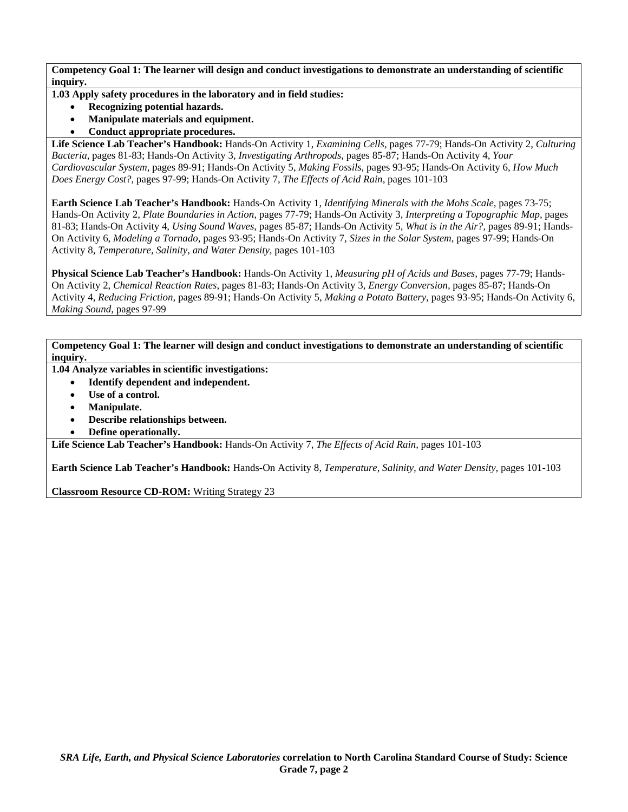**1.03 Apply safety procedures in the laboratory and in field studies:** 

- **Recognizing potential hazards.**
- **Manipulate materials and equipment.**
- **Conduct appropriate procedures.**

**Life Science Lab Teacher's Handbook:** Hands-On Activity 1, *Examining Cells,* pages 77-79; Hands-On Activity 2, *Culturing Bacteria,* pages 81-83; Hands-On Activity 3, *Investigating Arthropods,* pages 85-87; Hands-On Activity 4, *Your Cardiovascular System,* pages 89-91; Hands-On Activity 5, *Making Fossils,* pages 93-95; Hands-On Activity 6, *How Much Does Energy Cost?,* pages 97-99; Hands-On Activity 7, *The Effects of Acid Rain,* pages 101-103

**Earth Science Lab Teacher's Handbook:** Hands-On Activity 1, *Identifying Minerals with the Mohs Scale,* pages 73-75; Hands-On Activity 2, *Plate Boundaries in Action,* pages 77-79; Hands-On Activity 3, *Interpreting a Topographic Map,* pages 81-83; Hands-On Activity 4, *Using Sound Waves,* pages 85-87; Hands-On Activity 5, *What is in the Air?,* pages 89-91; Hands-On Activity 6, *Modeling a Tornado,* pages 93-95; Hands-On Activity 7, *Sizes in the Solar System,* pages 97-99; Hands-On Activity 8, *Temperature, Salinity, and Water Density,* pages 101-103

**Physical Science Lab Teacher's Handbook:** Hands-On Activity 1, *Measuring pH of Acids and Bases,* pages 77-79; Hands-On Activity 2, *Chemical Reaction Rates,* pages 81-83; Hands-On Activity 3, *Energy Conversion,* pages 85-87; Hands-On Activity 4, *Reducing Friction,* pages 89-91; Hands-On Activity 5, *Making a Potato Battery,* pages 93-95; Hands-On Activity 6, *Making Sound,* pages 97-99

**Competency Goal 1: The learner will design and conduct investigations to demonstrate an understanding of scientific inquiry.** 

- **1.04 Analyze variables in scientific investigations:** 
	- **Identify dependent and independent.** 
		- Use of a control.
		- **Manipulate.**
	- **Describe relationships between.**
	- **Define operationally.**

**Life Science Lab Teacher's Handbook:** Hands-On Activity 7, *The Effects of Acid Rain,* pages 101-103

**Earth Science Lab Teacher's Handbook:** Hands-On Activity 8, *Temperature, Salinity, and Water Density,* pages 101-103

**Classroom Resource CD-ROM:** Writing Strategy 23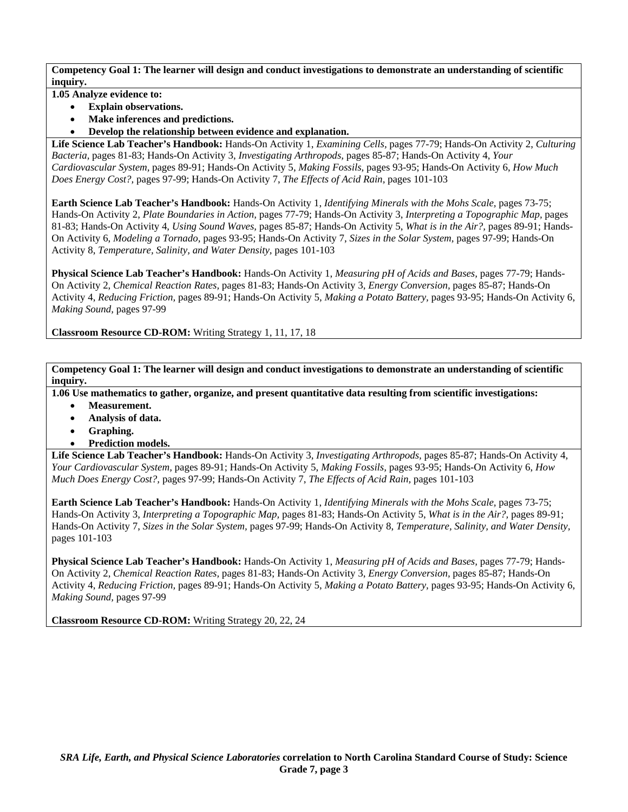**1.05 Analyze evidence to:** 

- **Explain observations.**
- **Make inferences and predictions.**
- **Develop the relationship between evidence and explanation.**

**Life Science Lab Teacher's Handbook:** Hands-On Activity 1, *Examining Cells,* pages 77-79; Hands-On Activity 2, *Culturing Bacteria,* pages 81-83; Hands-On Activity 3, *Investigating Arthropods,* pages 85-87; Hands-On Activity 4, *Your Cardiovascular System,* pages 89-91; Hands-On Activity 5, *Making Fossils,* pages 93-95; Hands-On Activity 6, *How Much Does Energy Cost?,* pages 97-99; Hands-On Activity 7, *The Effects of Acid Rain,* pages 101-103

**Earth Science Lab Teacher's Handbook:** Hands-On Activity 1, *Identifying Minerals with the Mohs Scale,* pages 73-75; Hands-On Activity 2, *Plate Boundaries in Action,* pages 77-79; Hands-On Activity 3, *Interpreting a Topographic Map,* pages 81-83; Hands-On Activity 4, *Using Sound Waves,* pages 85-87; Hands-On Activity 5, *What is in the Air?,* pages 89-91; Hands-On Activity 6, *Modeling a Tornado,* pages 93-95; Hands-On Activity 7, *Sizes in the Solar System,* pages 97-99; Hands-On Activity 8, *Temperature, Salinity, and Water Density,* pages 101-103

**Physical Science Lab Teacher's Handbook:** Hands-On Activity 1, *Measuring pH of Acids and Bases,* pages 77-79; Hands-On Activity 2, *Chemical Reaction Rates,* pages 81-83; Hands-On Activity 3, *Energy Conversion,* pages 85-87; Hands-On Activity 4, *Reducing Friction,* pages 89-91; Hands-On Activity 5, *Making a Potato Battery,* pages 93-95; Hands-On Activity 6, *Making Sound,* pages 97-99

**Classroom Resource CD-ROM:** Writing Strategy 1, 11, 17, 18

**Competency Goal 1: The learner will design and conduct investigations to demonstrate an understanding of scientific inquiry.** 

**1.06 Use mathematics to gather, organize, and present quantitative data resulting from scientific investigations:** 

- **Measurement.**
- **Analysis of data.**
- **Graphing.**
- **Prediction models.**

**Life Science Lab Teacher's Handbook:** Hands-On Activity 3, *Investigating Arthropods,* pages 85-87; Hands-On Activity 4, *Your Cardiovascular System,* pages 89-91; Hands-On Activity 5, *Making Fossils,* pages 93-95; Hands-On Activity 6, *How Much Does Energy Cost?,* pages 97-99; Hands-On Activity 7, *The Effects of Acid Rain,* pages 101-103

**Earth Science Lab Teacher's Handbook:** Hands-On Activity 1, *Identifying Minerals with the Mohs Scale,* pages 73-75; Hands-On Activity 3, *Interpreting a Topographic Map,* pages 81-83; Hands-On Activity 5, *What is in the Air?,* pages 89-91; Hands-On Activity 7, *Sizes in the Solar System,* pages 97-99; Hands-On Activity 8, *Temperature, Salinity, and Water Density,* pages 101-103

**Physical Science Lab Teacher's Handbook:** Hands-On Activity 1, *Measuring pH of Acids and Bases,* pages 77-79; Hands-On Activity 2, *Chemical Reaction Rates,* pages 81-83; Hands-On Activity 3, *Energy Conversion,* pages 85-87; Hands-On Activity 4, *Reducing Friction,* pages 89-91; Hands-On Activity 5, *Making a Potato Battery,* pages 93-95; Hands-On Activity 6, *Making Sound,* pages 97-99

**Classroom Resource CD-ROM:** Writing Strategy 20, 22, 24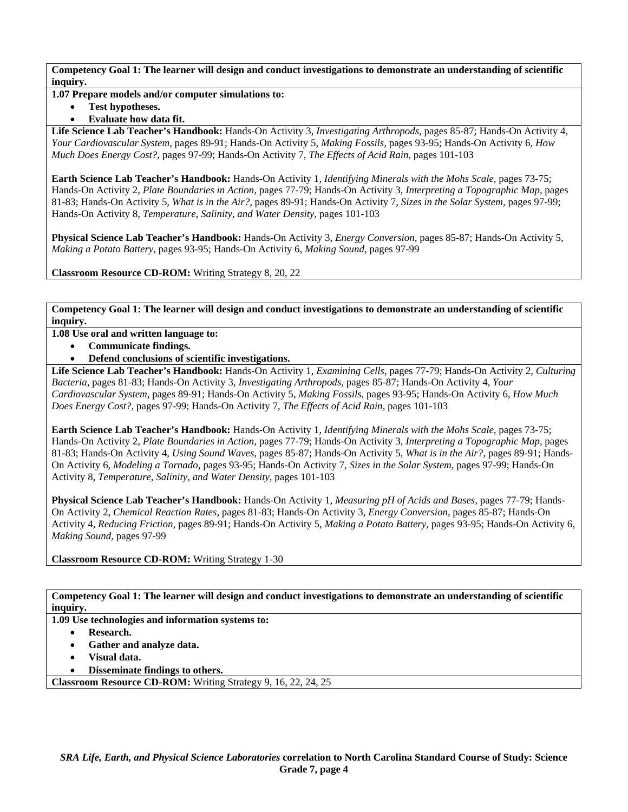### **1.07 Prepare models and/or computer simulations to:**

• **Test hypotheses.** 

## • **Evaluate how data fit.**

**Life Science Lab Teacher's Handbook:** Hands-On Activity 3, *Investigating Arthropods,* pages 85-87; Hands-On Activity 4, *Your Cardiovascular System,* pages 89-91; Hands-On Activity 5, *Making Fossils,* pages 93-95; Hands-On Activity 6, *How Much Does Energy Cost?,* pages 97-99; Hands-On Activity 7, *The Effects of Acid Rain,* pages 101-103

**Earth Science Lab Teacher's Handbook:** Hands-On Activity 1, *Identifying Minerals with the Mohs Scale,* pages 73-75; Hands-On Activity 2, *Plate Boundaries in Action,* pages 77-79; Hands-On Activity 3, *Interpreting a Topographic Map,* pages 81-83; Hands-On Activity 5, *What is in the Air?,* pages 89-91; Hands-On Activity 7, *Sizes in the Solar System,* pages 97-99; Hands-On Activity 8, *Temperature, Salinity, and Water Density,* pages 101-103

**Physical Science Lab Teacher's Handbook:** Hands-On Activity 3, *Energy Conversion,* pages 85-87; Hands-On Activity 5, *Making a Potato Battery,* pages 93-95; Hands-On Activity 6, *Making Sound,* pages 97-99

**Classroom Resource CD-ROM:** Writing Strategy 8, 20, 22

**Competency Goal 1: The learner will design and conduct investigations to demonstrate an understanding of scientific inquiry.** 

**1.08 Use oral and written language to:** 

- **Communicate findings.**
- **Defend conclusions of scientific investigations.**

**Life Science Lab Teacher's Handbook:** Hands-On Activity 1, *Examining Cells,* pages 77-79; Hands-On Activity 2, *Culturing Bacteria,* pages 81-83; Hands-On Activity 3, *Investigating Arthropods,* pages 85-87; Hands-On Activity 4, *Your Cardiovascular System,* pages 89-91; Hands-On Activity 5, *Making Fossils,* pages 93-95; Hands-On Activity 6, *How Much Does Energy Cost?,* pages 97-99; Hands-On Activity 7, *The Effects of Acid Rain,* pages 101-103

**Earth Science Lab Teacher's Handbook:** Hands-On Activity 1, *Identifying Minerals with the Mohs Scale,* pages 73-75; Hands-On Activity 2, *Plate Boundaries in Action,* pages 77-79; Hands-On Activity 3, *Interpreting a Topographic Map,* pages 81-83; Hands-On Activity 4, *Using Sound Waves,* pages 85-87; Hands-On Activity 5, *What is in the Air?,* pages 89-91; Hands-On Activity 6, *Modeling a Tornado,* pages 93-95; Hands-On Activity 7, *Sizes in the Solar System,* pages 97-99; Hands-On Activity 8, *Temperature, Salinity, and Water Density,* pages 101-103

**Physical Science Lab Teacher's Handbook:** Hands-On Activity 1, *Measuring pH of Acids and Bases,* pages 77-79; Hands-On Activity 2, *Chemical Reaction Rates,* pages 81-83; Hands-On Activity 3, *Energy Conversion,* pages 85-87; Hands-On Activity 4, *Reducing Friction,* pages 89-91; Hands-On Activity 5, *Making a Potato Battery,* pages 93-95; Hands-On Activity 6, *Making Sound,* pages 97-99

**Classroom Resource CD-ROM:** Writing Strategy 1-30

**Competency Goal 1: The learner will design and conduct investigations to demonstrate an understanding of scientific inquiry.** 

**1.09 Use technologies and information systems to:** 

- **Research.**
- **Gather and analyze data.**
- **Visual data.**
- **Disseminate findings to others.**

**Classroom Resource CD-ROM:** Writing Strategy 9, 16, 22, 24, 25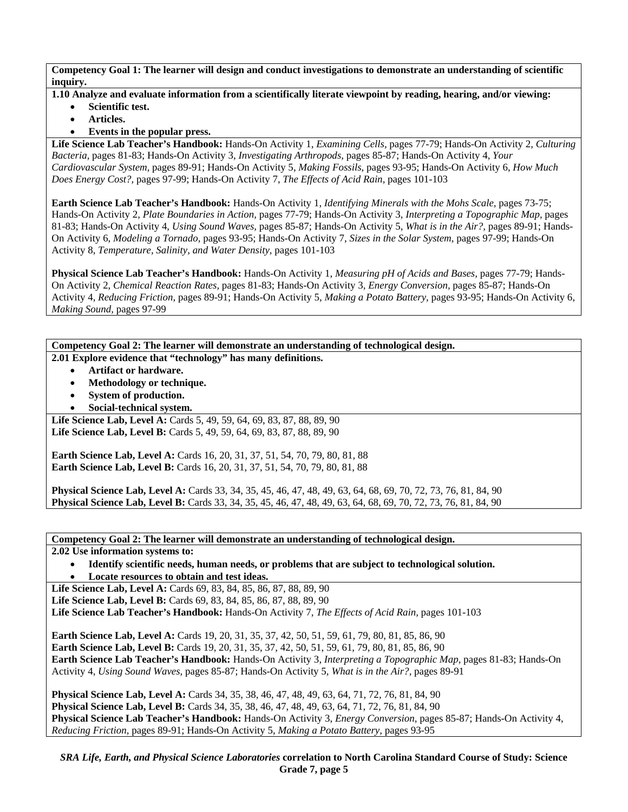- **1.10 Analyze and evaluate information from a scientifically literate viewpoint by reading, hearing, and/or viewing:** 
	- **Scientific test.**
	- **Articles.**
	- **Events in the popular press.**

**Life Science Lab Teacher's Handbook:** Hands-On Activity 1, *Examining Cells,* pages 77-79; Hands-On Activity 2, *Culturing Bacteria,* pages 81-83; Hands-On Activity 3, *Investigating Arthropods,* pages 85-87; Hands-On Activity 4, *Your Cardiovascular System,* pages 89-91; Hands-On Activity 5, *Making Fossils,* pages 93-95; Hands-On Activity 6, *How Much Does Energy Cost?,* pages 97-99; Hands-On Activity 7, *The Effects of Acid Rain,* pages 101-103

**Earth Science Lab Teacher's Handbook:** Hands-On Activity 1, *Identifying Minerals with the Mohs Scale,* pages 73-75; Hands-On Activity 2, *Plate Boundaries in Action,* pages 77-79; Hands-On Activity 3, *Interpreting a Topographic Map,* pages 81-83; Hands-On Activity 4, *Using Sound Waves,* pages 85-87; Hands-On Activity 5, *What is in the Air?,* pages 89-91; Hands-On Activity 6, *Modeling a Tornado,* pages 93-95; Hands-On Activity 7, *Sizes in the Solar System,* pages 97-99; Hands-On Activity 8, *Temperature, Salinity, and Water Density,* pages 101-103

**Physical Science Lab Teacher's Handbook:** Hands-On Activity 1, *Measuring pH of Acids and Bases,* pages 77-79; Hands-On Activity 2, *Chemical Reaction Rates,* pages 81-83; Hands-On Activity 3, *Energy Conversion,* pages 85-87; Hands-On Activity 4, *Reducing Friction,* pages 89-91; Hands-On Activity 5, *Making a Potato Battery,* pages 93-95; Hands-On Activity 6, *Making Sound,* pages 97-99

**Competency Goal 2: The learner will demonstrate an understanding of technological design. 2.01 Explore evidence that "technology" has many definitions.** 

- **Artifact or hardware.**
- **Methodology or technique.**
- **System of production.**
- **Social-technical system.**

Life Science Lab, Level A: Cards 5, 49, 59, 64, 69, 83, 87, 88, 89, 90 Life Science Lab, Level B: Cards 5, 49, 59, 64, 69, 83, 87, 88, 89, 90

**Earth Science Lab, Level A: Cards 16, 20, 31, 37, 51, 54, 70, 79, 80, 81, 88 Earth Science Lab, Level B:** Cards 16, 20, 31, 37, 51, 54, 70, 79, 80, 81, 88

**Physical Science Lab, Level A:** Cards 33, 34, 35, 45, 46, 47, 48, 49, 63, 64, 68, 69, 70, 72, 73, 76, 81, 84, 90 **Physical Science Lab, Level B:** Cards 33, 34, 35, 45, 46, 47, 48, 49, 63, 64, 68, 69, 70, 72, 73, 76, 81, 84, 90

**Competency Goal 2: The learner will demonstrate an understanding of technological design.** 

**2.02 Use information systems to:** 

• **Identify scientific needs, human needs, or problems that are subject to technological solution.**  • **Locate resources to obtain and test ideas.** 

**Life Science Lab, Level A: Cards 69, 83, 84, 85, 86, 87, 88, 89, 90** Life Science Lab, Level B: Cards 69, 83, 84, 85, 86, 87, 88, 89, 90 **Life Science Lab Teacher's Handbook:** Hands-On Activity 7, *The Effects of Acid Rain,* pages 101-103

**Earth Science Lab, Level A:** Cards 19, 20, 31, 35, 37, 42, 50, 51, 59, 61, 79, 80, 81, 85, 86, 90 **Earth Science Lab, Level B:** Cards 19, 20, 31, 35, 37, 42, 50, 51, 59, 61, 79, 80, 81, 85, 86, 90 **Earth Science Lab Teacher's Handbook:** Hands-On Activity 3, *Interpreting a Topographic Map,* pages 81-83; Hands-On Activity 4, *Using Sound Waves,* pages 85-87; Hands-On Activity 5, *What is in the Air?,* pages 89-91

**Physical Science Lab, Level A:** Cards 34, 35, 38, 46, 47, 48, 49, 63, 64, 71, 72, 76, 81, 84, 90 **Physical Science Lab, Level B:** Cards 34, 35, 38, 46, 47, 48, 49, 63, 64, 71, 72, 76, 81, 84, 90 **Physical Science Lab Teacher's Handbook:** Hands-On Activity 3, *Energy Conversion,* pages 85-87; Hands-On Activity 4, *Reducing Friction,* pages 89-91; Hands-On Activity 5, *Making a Potato Battery,* pages 93-95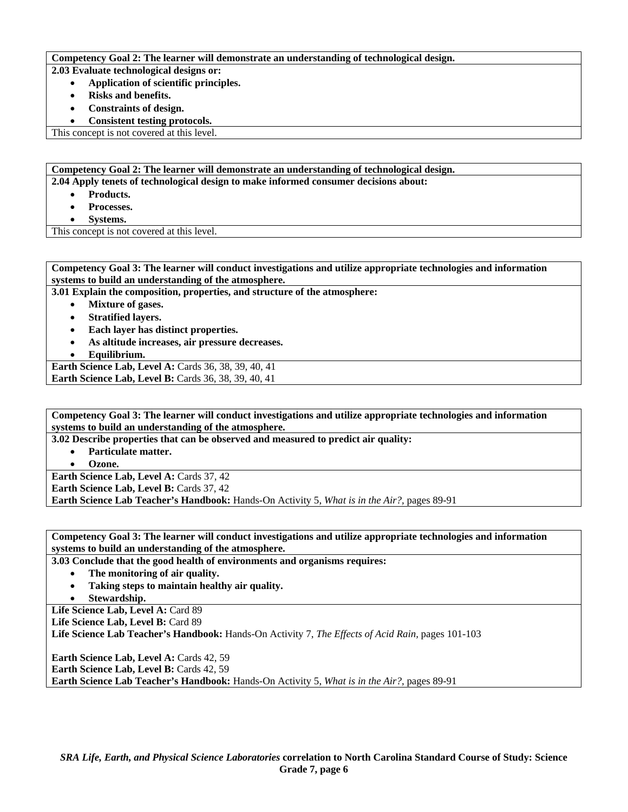#### **Competency Goal 2: The learner will demonstrate an understanding of technological design.**

**2.03 Evaluate technological designs or:** 

- **Application of scientific principles.** 
	- **Risks and benefits.**
	- **Constraints of design.**
- **Consistent testing protocols.**

This concept is not covered at this level.

**Competency Goal 2: The learner will demonstrate an understanding of technological design. 2.04 Apply tenets of technological design to make informed consumer decisions about:** 

- **Products.**
- **Processes.**
- **Systems.**

This concept is not covered at this level.

**Competency Goal 3: The learner will conduct investigations and utilize appropriate technologies and information systems to build an understanding of the atmosphere. 3.01 Explain the composition, properties, and structure of the atmosphere:**  • **Mixture of gases.** 

- 
- **Stratified layers.**
- **Each layer has distinct properties.**
- **As altitude increases, air pressure decreases.**

• **Equilibrium.** 

**Earth Science Lab, Level A:** Cards 36, 38, 39, 40, 41 **Earth Science Lab, Level B: Cards 36, 38, 39, 40, 41** 

**Competency Goal 3: The learner will conduct investigations and utilize appropriate technologies and information systems to build an understanding of the atmosphere.** 

**3.02 Describe properties that can be observed and measured to predict air quality:** 

- **Particulate matter.** 
	- **Ozone.**

**Earth Science Lab, Level A: Cards 37, 42** 

**Earth Science Lab, Level B: Cards 37, 42** 

**Earth Science Lab Teacher's Handbook:** Hands-On Activity 5, *What is in the Air?,* pages 89-91

**Competency Goal 3: The learner will conduct investigations and utilize appropriate technologies and information systems to build an understanding of the atmosphere.** 

**3.03 Conclude that the good health of environments and organisms requires:** 

- **The monitoring of air quality.**
- **Taking steps to maintain healthy air quality.**
- **Stewardship.**

Life Science Lab, Level A: Card 89

Life Science Lab, Level B: Card 89

**Life Science Lab Teacher's Handbook:** Hands-On Activity 7, *The Effects of Acid Rain,* pages 101-103

**Earth Science Lab, Level A: Cards 42, 59 Earth Science Lab, Level B: Cards 42, 59 Earth Science Lab Teacher's Handbook:** Hands-On Activity 5, *What is in the Air?,* pages 89-91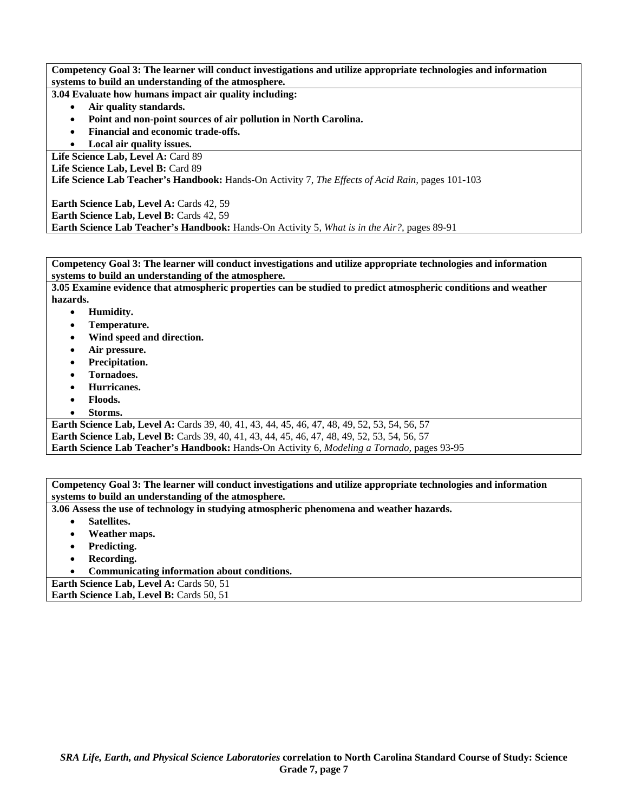**Competency Goal 3: The learner will conduct investigations and utilize appropriate technologies and information systems to build an understanding of the atmosphere.** 

**3.04 Evaluate how humans impact air quality including:** 

- **Air quality standards.**
- **Point and non-point sources of air pollution in North Carolina.**
- **Financial and economic trade-offs.**
- **Local air quality issues.**

Life Science Lab, Level A: Card 89

Life Science Lab, Level B: Card 89

**Life Science Lab Teacher's Handbook:** Hands-On Activity 7, *The Effects of Acid Rain,* pages 101-103

Earth Science Lab, Level A: Cards 42, 59 Earth Science Lab, Level B: Cards 42, 59

**Earth Science Lab Teacher's Handbook:** Hands-On Activity 5, *What is in the Air?,* pages 89-91

**Competency Goal 3: The learner will conduct investigations and utilize appropriate technologies and information systems to build an understanding of the atmosphere.** 

**3.05 Examine evidence that atmospheric properties can be studied to predict atmospheric conditions and weather hazards.** 

- **Humidity.**
- **Temperature.**
- **Wind speed and direction.**
- **Air pressure.**
- **Precipitation.**
- **Tornadoes.**
- **Hurricanes.**
- **Floods.**
- **Storms.**

**Earth Science Lab, Level A:** Cards 39, 40, 41, 43, 44, 45, 46, 47, 48, 49, 52, 53, 54, 56, 57 **Earth Science Lab, Level B:** Cards 39, 40, 41, 43, 44, 45, 46, 47, 48, 49, 52, 53, 54, 56, 57 **Earth Science Lab Teacher's Handbook:** Hands-On Activity 6, *Modeling a Tornado,* pages 93-95

**Competency Goal 3: The learner will conduct investigations and utilize appropriate technologies and information systems to build an understanding of the atmosphere.** 

**3.06 Assess the use of technology in studying atmospheric phenomena and weather hazards.** 

- **Satellites.**
- **Weather maps.**
- **Predicting.**
- **Recording.**
- **Communicating information about conditions.**

**Earth Science Lab, Level A: Cards 50, 51** 

**Earth Science Lab, Level B: Cards 50, 51**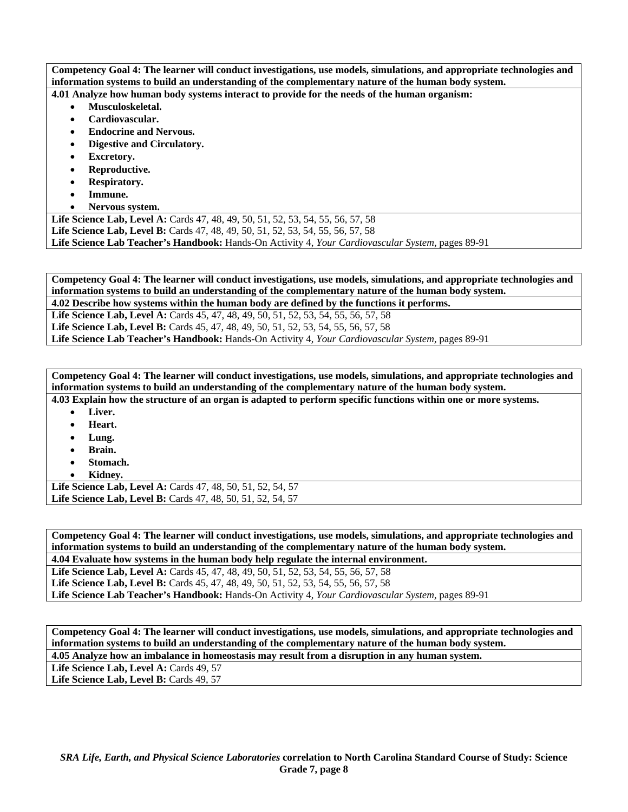**Competency Goal 4: The learner will conduct investigations, use models, simulations, and appropriate technologies and information systems to build an understanding of the complementary nature of the human body system. 4.01 Analyze how human body systems interact to provide for the needs of the human organism:** 

- **Musculoskeletal.**
- **Cardiovascular.**
- **Endocrine and Nervous.**
- **Digestive and Circulatory.**
- **Excretory.**
- **Reproductive.**
- **Respiratory.**
- **Immune.**
- **Nervous system.**

**Life Science Lab, Level A:** Cards 47, 48, 49, 50, 51, 52, 53, 54, 55, 56, 57, 58 **Life Science Lab, Level B:** Cards 47, 48, 49, 50, 51, 52, 53, 54, 55, 56, 57, 58 **Life Science Lab Teacher's Handbook:** Hands-On Activity 4, *Your Cardiovascular System,* pages 89-91

**Competency Goal 4: The learner will conduct investigations, use models, simulations, and appropriate technologies and information systems to build an understanding of the complementary nature of the human body system.** 

**4.02 Describe how systems within the human body are defined by the functions it performs.** 

**Life Science Lab, Level A:** Cards 45, 47, 48, 49, 50, 51, 52, 53, 54, 55, 56, 57, 58

**Life Science Lab, Level B:** Cards 45, 47, 48, 49, 50, 51, 52, 53, 54, 55, 56, 57, 58

**Life Science Lab Teacher's Handbook:** Hands-On Activity 4, *Your Cardiovascular System,* pages 89-91

**Competency Goal 4: The learner will conduct investigations, use models, simulations, and appropriate technologies and information systems to build an understanding of the complementary nature of the human body system.** 

**4.03 Explain how the structure of an organ is adapted to perform specific functions within one or more systems.**  • **Liver.** 

- **Heart.**
- **Lung.**
- 
- **Brain.**
- **Stomach.**  • **Kidney.**

**Life Science Lab, Level A:** Cards 47, 48, 50, 51, 52, 54, 57 **Life Science Lab, Level B:** Cards 47, 48, 50, 51, 52, 54, 57

**Competency Goal 4: The learner will conduct investigations, use models, simulations, and appropriate technologies and information systems to build an understanding of the complementary nature of the human body system.** 

**4.04 Evaluate how systems in the human body help regulate the internal environment.** 

**Life Science Lab, Level A:** Cards 45, 47, 48, 49, 50, 51, 52, 53, 54, 55, 56, 57, 58

**Life Science Lab, Level B:** Cards 45, 47, 48, 49, 50, 51, 52, 53, 54, 55, 56, 57, 58 **Life Science Lab Teacher's Handbook:** Hands-On Activity 4, *Your Cardiovascular System,* pages 89-91

**Competency Goal 4: The learner will conduct investigations, use models, simulations, and appropriate technologies and information systems to build an understanding of the complementary nature of the human body system. 4.05 Analyze how an imbalance in homeostasis may result from a disruption in any human system.** 

Life Science Lab, Level A: Cards 49, 57

Life Science Lab, Level B: Cards 49, 57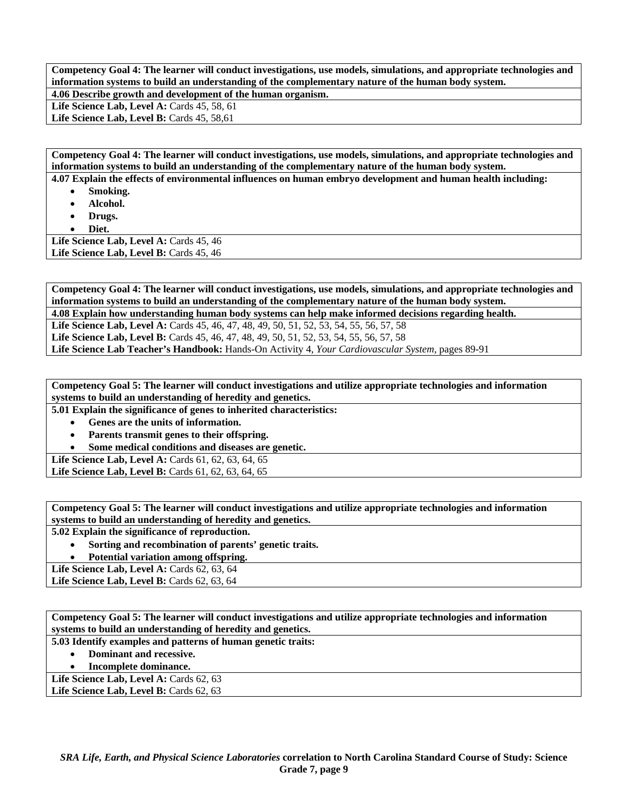**Competency Goal 4: The learner will conduct investigations, use models, simulations, and appropriate technologies and information systems to build an understanding of the complementary nature of the human body system. 4.06 Describe growth and development of the human organism.** 

**Life Science Lab, Level A: Cards 45, 58, 61** 

Life Science Lab, Level B: Cards 45, 58,61

**Competency Goal 4: The learner will conduct investigations, use models, simulations, and appropriate technologies and information systems to build an understanding of the complementary nature of the human body system.** 

**4.07 Explain the effects of environmental influences on human embryo development and human health including:** 

- **Smoking.**
- **Alcohol.**
- **Drugs.**
- **Diet.**

Life Science Lab, Level A: Cards 45, 46 Life Science Lab, Level B: Cards 45, 46

**Competency Goal 4: The learner will conduct investigations, use models, simulations, and appropriate technologies and information systems to build an understanding of the complementary nature of the human body system. 4.08 Explain how understanding human body systems can help make informed decisions regarding health.** 

Life Science Lab, Level A: Cards 45, 46, 47, 48, 49, 50, 51, 52, 53, 54, 55, 56, 57, 58

Life Science Lab, Level B: Cards 45, 46, 47, 48, 49, 50, 51, 52, 53, 54, 55, 56, 57, 58

**Life Science Lab Teacher's Handbook:** Hands-On Activity 4, *Your Cardiovascular System,* pages 89-91

**Competency Goal 5: The learner will conduct investigations and utilize appropriate technologies and information systems to build an understanding of heredity and genetics.** 

**5.01 Explain the significance of genes to inherited characteristics:** 

- **Genes are the units of information.**
- **Parents transmit genes to their offspring.**
- **Some medical conditions and diseases are genetic.**

**Life Science Lab, Level A: Cards 61, 62, 63, 64, 65** 

Life Science Lab, Level B: Cards 61, 62, 63, 64, 65

**Competency Goal 5: The learner will conduct investigations and utilize appropriate technologies and information systems to build an understanding of heredity and genetics.** 

**5.02 Explain the significance of reproduction.** 

• **Sorting and recombination of parents' genetic traits.** 

• **Potential variation among offspring.** 

Life Science Lab, Level A: Cards 62, 63, 64

**Life Science Lab, Level B:** Cards 62, 63, 64

**Competency Goal 5: The learner will conduct investigations and utilize appropriate technologies and information systems to build an understanding of heredity and genetics.** 

**5.03 Identify examples and patterns of human genetic traits:** 

- **Dominant and recessive.**
- **Incomplete dominance.**

Life Science Lab, Level A: Cards 62, 63 Life Science Lab, Level B: Cards 62, 63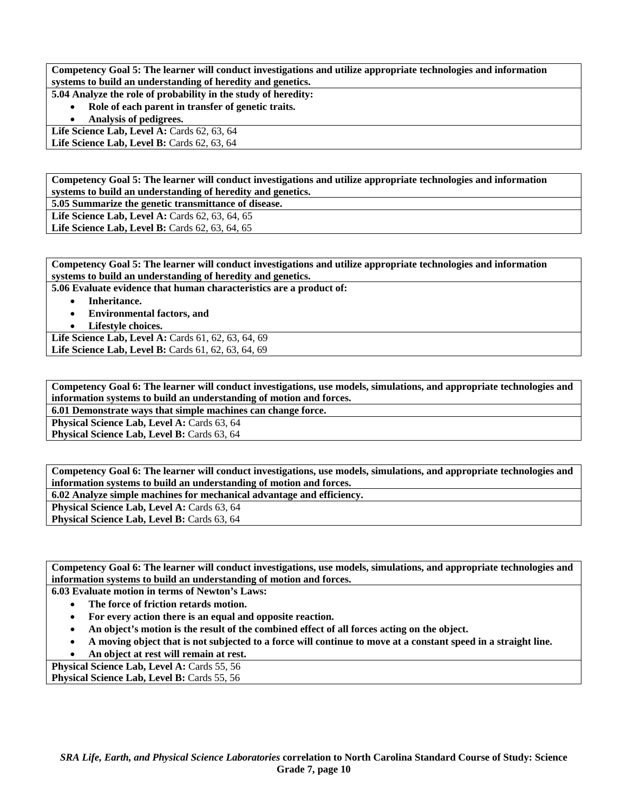**Competency Goal 5: The learner will conduct investigations and utilize appropriate technologies and information systems to build an understanding of heredity and genetics.** 

**5.04 Analyze the role of probability in the study of heredity:** 

• **Role of each parent in transfer of genetic traits.** 

• **Analysis of pedigrees.** 

Life Science Lab, Level A: Cards 62, 63, 64 **Life Science Lab, Level B: Cards 62, 63, 64** 

**Competency Goal 5: The learner will conduct investigations and utilize appropriate technologies and information systems to build an understanding of heredity and genetics.** 

**5.05 Summarize the genetic transmittance of disease.** 

Life Science Lab, Level A: Cards 62, 63, 64, 65

**Life Science Lab, Level B:** Cards 62, 63, 64, 65

**Competency Goal 5: The learner will conduct investigations and utilize appropriate technologies and information systems to build an understanding of heredity and genetics.** 

**5.06 Evaluate evidence that human characteristics are a product of:** 

- **Inheritance.**
- **Environmental factors, and**
- **Lifestyle choices.**

Life Science Lab, Level A: Cards 61, 62, 63, 64, 69 Life Science Lab, Level B: Cards 61, 62, 63, 64, 69

**Competency Goal 6: The learner will conduct investigations, use models, simulations, and appropriate technologies and information systems to build an understanding of motion and forces.** 

**6.01 Demonstrate ways that simple machines can change force.** 

Physical Science Lab, Level A: Cards 63, 64

Physical Science Lab, Level B: Cards 63, 64

**Competency Goal 6: The learner will conduct investigations, use models, simulations, and appropriate technologies and information systems to build an understanding of motion and forces.** 

**6.02 Analyze simple machines for mechanical advantage and efficiency.** 

Physical Science Lab, Level A: Cards 63, 64

**Physical Science Lab, Level B: Cards 63, 64** 

**Competency Goal 6: The learner will conduct investigations, use models, simulations, and appropriate technologies and information systems to build an understanding of motion and forces.** 

**6.03 Evaluate motion in terms of Newton's Laws:** 

- **The force of friction retards motion.**
- **For every action there is an equal and opposite reaction.**
- **An object's motion is the result of the combined effect of all forces acting on the object.**
- **A moving object that is not subjected to a force will continue to move at a constant speed in a straight line.**
- **An object at rest will remain at rest.**

Physical Science Lab, Level A: Cards 55, 56 Physical Science Lab, Level B: Cards 55, 56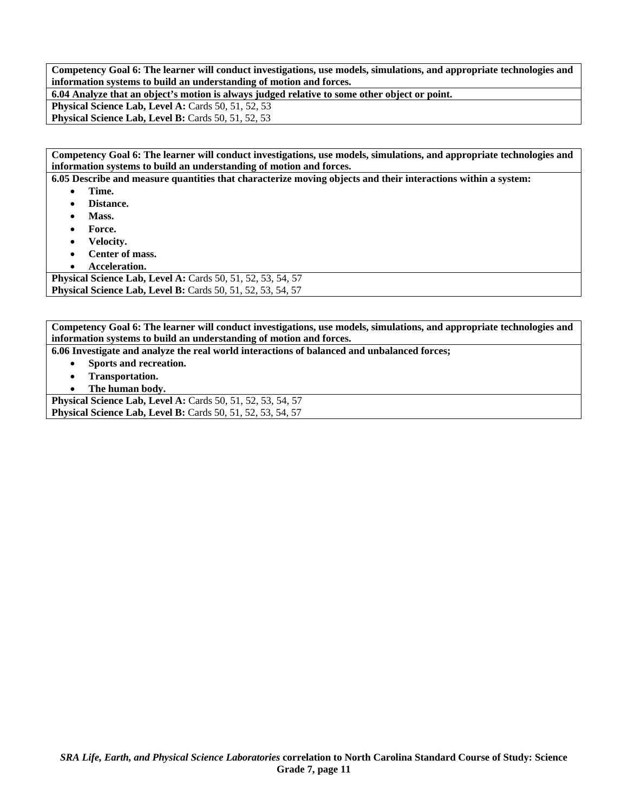**Competency Goal 6: The learner will conduct investigations, use models, simulations, and appropriate technologies and information systems to build an understanding of motion and forces.** 

**6.04 Analyze that an object's motion is always judged relative to some other object or point.** 

**Physical Science Lab, Level A: Cards 50, 51, 52, 53** 

Physical Science Lab, Level B: Cards 50, 51, 52, 53

**Competency Goal 6: The learner will conduct investigations, use models, simulations, and appropriate technologies and information systems to build an understanding of motion and forces.** 

**6.05 Describe and measure quantities that characterize moving objects and their interactions within a system:** 

- **Time.**
- **Distance.**
- **Mass.**
- **Force.**
- **Velocity.**
- **Center of mass.**
- **Acceleration.**

**Physical Science Lab, Level A: Cards 50, 51, 52, 53, 54, 57 Physical Science Lab, Level B:** Cards 50, 51, 52, 53, 54, 57

**Competency Goal 6: The learner will conduct investigations, use models, simulations, and appropriate technologies and information systems to build an understanding of motion and forces.** 

**6.06 Investigate and analyze the real world interactions of balanced and unbalanced forces;** 

- **Sports and recreation.**
- **Transportation.**
- **The human body.**

**Physical Science Lab, Level A: Cards 50, 51, 52, 53, 54, 57 Physical Science Lab, Level B:** Cards 50, 51, 52, 53, 54, 57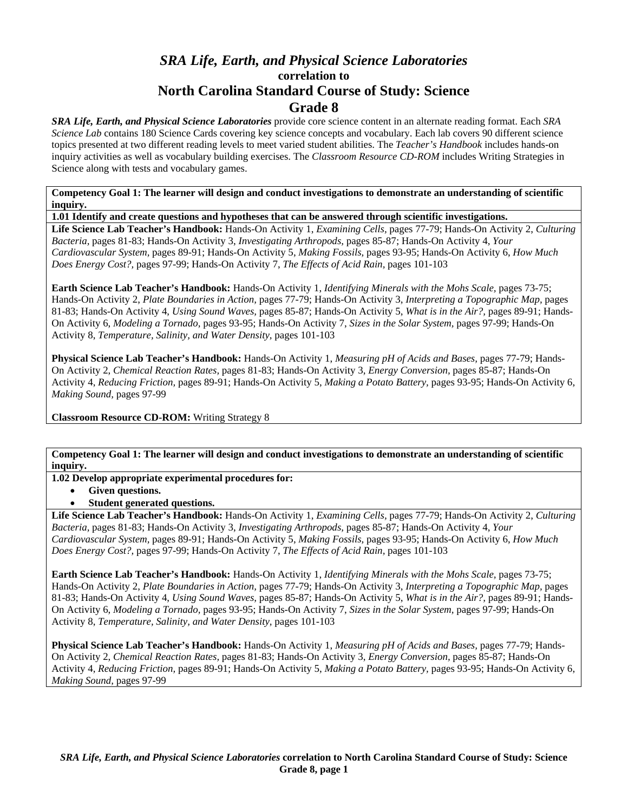# *SRA Life, Earth, and Physical Science Laboratories*  **correlation to North Carolina Standard Course of Study: Science Grade 8**

*SRA Life, Earth, and Physical Science Laboratories* provide core science content in an alternate reading format. Each *SRA Science Lab* contains 180 Science Cards covering key science concepts and vocabulary. Each lab covers 90 different science topics presented at two different reading levels to meet varied student abilities. The *Teacher's Handbook* includes hands-on inquiry activities as well as vocabulary building exercises. The *Classroom Resource CD-ROM* includes Writing Strategies in Science along with tests and vocabulary games.

**Competency Goal 1: The learner will design and conduct investigations to demonstrate an understanding of scientific inquiry.** 

**1.01 Identify and create questions and hypotheses that can be answered through scientific investigations.** 

**Life Science Lab Teacher's Handbook:** Hands-On Activity 1, *Examining Cells,* pages 77-79; Hands-On Activity 2, *Culturing Bacteria,* pages 81-83; Hands-On Activity 3, *Investigating Arthropods,* pages 85-87; Hands-On Activity 4, *Your Cardiovascular System,* pages 89-91; Hands-On Activity 5, *Making Fossils,* pages 93-95; Hands-On Activity 6, *How Much Does Energy Cost?,* pages 97-99; Hands-On Activity 7, *The Effects of Acid Rain,* pages 101-103

**Earth Science Lab Teacher's Handbook:** Hands-On Activity 1, *Identifying Minerals with the Mohs Scale,* pages 73-75; Hands-On Activity 2, *Plate Boundaries in Action,* pages 77-79; Hands-On Activity 3, *Interpreting a Topographic Map,* pages 81-83; Hands-On Activity 4, *Using Sound Waves,* pages 85-87; Hands-On Activity 5, *What is in the Air?,* pages 89-91; Hands-On Activity 6, *Modeling a Tornado,* pages 93-95; Hands-On Activity 7, *Sizes in the Solar System,* pages 97-99; Hands-On Activity 8, *Temperature, Salinity, and Water Density,* pages 101-103

**Physical Science Lab Teacher's Handbook:** Hands-On Activity 1, *Measuring pH of Acids and Bases,* pages 77-79; Hands-On Activity 2, *Chemical Reaction Rates,* pages 81-83; Hands-On Activity 3, *Energy Conversion,* pages 85-87; Hands-On Activity 4, *Reducing Friction,* pages 89-91; Hands-On Activity 5, *Making a Potato Battery,* pages 93-95; Hands-On Activity 6, *Making Sound,* pages 97-99

**Classroom Resource CD-ROM:** Writing Strategy 8

**Competency Goal 1: The learner will design and conduct investigations to demonstrate an understanding of scientific inquiry.** 

**1.02 Develop appropriate experimental procedures for:** 

- **Given questions.**
- **Student generated questions.**

**Life Science Lab Teacher's Handbook:** Hands-On Activity 1, *Examining Cells,* pages 77-79; Hands-On Activity 2, *Culturing Bacteria,* pages 81-83; Hands-On Activity 3, *Investigating Arthropods,* pages 85-87; Hands-On Activity 4, *Your Cardiovascular System,* pages 89-91; Hands-On Activity 5, *Making Fossils,* pages 93-95; Hands-On Activity 6, *How Much Does Energy Cost?,* pages 97-99; Hands-On Activity 7, *The Effects of Acid Rain,* pages 101-103

**Earth Science Lab Teacher's Handbook:** Hands-On Activity 1, *Identifying Minerals with the Mohs Scale,* pages 73-75; Hands-On Activity 2, *Plate Boundaries in Action,* pages 77-79; Hands-On Activity 3, *Interpreting a Topographic Map,* pages 81-83; Hands-On Activity 4, *Using Sound Waves,* pages 85-87; Hands-On Activity 5, *What is in the Air?,* pages 89-91; Hands-On Activity 6, *Modeling a Tornado,* pages 93-95; Hands-On Activity 7, *Sizes in the Solar System,* pages 97-99; Hands-On Activity 8, *Temperature, Salinity, and Water Density,* pages 101-103

**Physical Science Lab Teacher's Handbook:** Hands-On Activity 1, *Measuring pH of Acids and Bases,* pages 77-79; Hands-On Activity 2, *Chemical Reaction Rates,* pages 81-83; Hands-On Activity 3, *Energy Conversion,* pages 85-87; Hands-On Activity 4, *Reducing Friction,* pages 89-91; Hands-On Activity 5, *Making a Potato Battery,* pages 93-95; Hands-On Activity 6, *Making Sound,* pages 97-99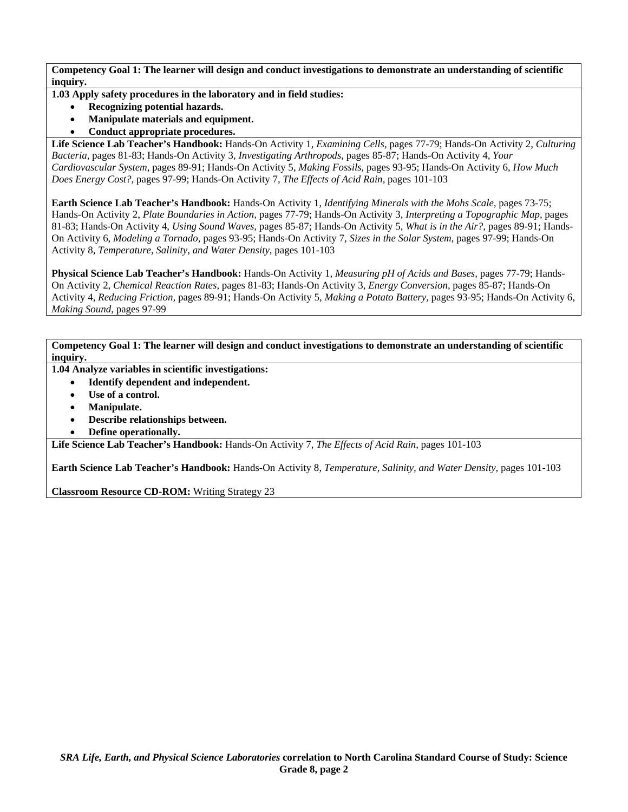**1.03 Apply safety procedures in the laboratory and in field studies:** 

- **Recognizing potential hazards.**
- **Manipulate materials and equipment.**
- **Conduct appropriate procedures.**

**Life Science Lab Teacher's Handbook:** Hands-On Activity 1, *Examining Cells,* pages 77-79; Hands-On Activity 2, *Culturing Bacteria,* pages 81-83; Hands-On Activity 3, *Investigating Arthropods,* pages 85-87; Hands-On Activity 4, *Your Cardiovascular System,* pages 89-91; Hands-On Activity 5, *Making Fossils,* pages 93-95; Hands-On Activity 6, *How Much Does Energy Cost?,* pages 97-99; Hands-On Activity 7, *The Effects of Acid Rain,* pages 101-103

**Earth Science Lab Teacher's Handbook:** Hands-On Activity 1, *Identifying Minerals with the Mohs Scale,* pages 73-75; Hands-On Activity 2, *Plate Boundaries in Action,* pages 77-79; Hands-On Activity 3, *Interpreting a Topographic Map,* pages 81-83; Hands-On Activity 4, *Using Sound Waves,* pages 85-87; Hands-On Activity 5, *What is in the Air?,* pages 89-91; Hands-On Activity 6, *Modeling a Tornado,* pages 93-95; Hands-On Activity 7, *Sizes in the Solar System,* pages 97-99; Hands-On Activity 8, *Temperature, Salinity, and Water Density,* pages 101-103

**Physical Science Lab Teacher's Handbook:** Hands-On Activity 1, *Measuring pH of Acids and Bases,* pages 77-79; Hands-On Activity 2, *Chemical Reaction Rates,* pages 81-83; Hands-On Activity 3, *Energy Conversion,* pages 85-87; Hands-On Activity 4, *Reducing Friction,* pages 89-91; Hands-On Activity 5, *Making a Potato Battery,* pages 93-95; Hands-On Activity 6, *Making Sound,* pages 97-99

**Competency Goal 1: The learner will design and conduct investigations to demonstrate an understanding of scientific inquiry.** 

- **1.04 Analyze variables in scientific investigations:** 
	- **Identify dependent and independent.**
	- Use of a control.
	- **Manipulate.**
	- **Describe relationships between.**
	- **Define operationally.**

**Life Science Lab Teacher's Handbook:** Hands-On Activity 7, *The Effects of Acid Rain,* pages 101-103

**Earth Science Lab Teacher's Handbook:** Hands-On Activity 8, *Temperature, Salinity, and Water Density,* pages 101-103

**Classroom Resource CD-ROM:** Writing Strategy 23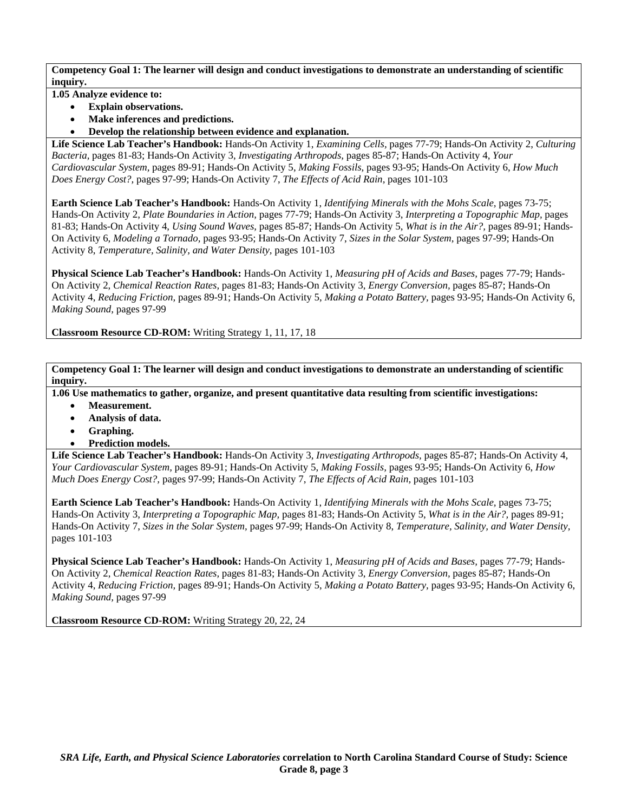**1.05 Analyze evidence to:** 

- **Explain observations.**
- **Make inferences and predictions.**
- **Develop the relationship between evidence and explanation.**

**Life Science Lab Teacher's Handbook:** Hands-On Activity 1, *Examining Cells,* pages 77-79; Hands-On Activity 2, *Culturing Bacteria,* pages 81-83; Hands-On Activity 3, *Investigating Arthropods,* pages 85-87; Hands-On Activity 4, *Your Cardiovascular System,* pages 89-91; Hands-On Activity 5, *Making Fossils,* pages 93-95; Hands-On Activity 6, *How Much Does Energy Cost?,* pages 97-99; Hands-On Activity 7, *The Effects of Acid Rain,* pages 101-103

**Earth Science Lab Teacher's Handbook:** Hands-On Activity 1, *Identifying Minerals with the Mohs Scale,* pages 73-75; Hands-On Activity 2, *Plate Boundaries in Action,* pages 77-79; Hands-On Activity 3, *Interpreting a Topographic Map,* pages 81-83; Hands-On Activity 4, *Using Sound Waves,* pages 85-87; Hands-On Activity 5, *What is in the Air?,* pages 89-91; Hands-On Activity 6, *Modeling a Tornado,* pages 93-95; Hands-On Activity 7, *Sizes in the Solar System,* pages 97-99; Hands-On Activity 8, *Temperature, Salinity, and Water Density,* pages 101-103

**Physical Science Lab Teacher's Handbook:** Hands-On Activity 1, *Measuring pH of Acids and Bases,* pages 77-79; Hands-On Activity 2, *Chemical Reaction Rates,* pages 81-83; Hands-On Activity 3, *Energy Conversion,* pages 85-87; Hands-On Activity 4, *Reducing Friction,* pages 89-91; Hands-On Activity 5, *Making a Potato Battery,* pages 93-95; Hands-On Activity 6, *Making Sound,* pages 97-99

**Classroom Resource CD-ROM:** Writing Strategy 1, 11, 17, 18

**Competency Goal 1: The learner will design and conduct investigations to demonstrate an understanding of scientific inquiry.** 

**1.06 Use mathematics to gather, organize, and present quantitative data resulting from scientific investigations:** 

- **Measurement.**
- **Analysis of data.**
- **Graphing.**
- **Prediction models.**

**Life Science Lab Teacher's Handbook:** Hands-On Activity 3, *Investigating Arthropods,* pages 85-87; Hands-On Activity 4, *Your Cardiovascular System,* pages 89-91; Hands-On Activity 5, *Making Fossils,* pages 93-95; Hands-On Activity 6, *How Much Does Energy Cost?,* pages 97-99; Hands-On Activity 7, *The Effects of Acid Rain,* pages 101-103

**Earth Science Lab Teacher's Handbook:** Hands-On Activity 1, *Identifying Minerals with the Mohs Scale,* pages 73-75; Hands-On Activity 3, *Interpreting a Topographic Map,* pages 81-83; Hands-On Activity 5, *What is in the Air?,* pages 89-91; Hands-On Activity 7, *Sizes in the Solar System,* pages 97-99; Hands-On Activity 8, *Temperature, Salinity, and Water Density,* pages 101-103

**Physical Science Lab Teacher's Handbook:** Hands-On Activity 1, *Measuring pH of Acids and Bases,* pages 77-79; Hands-On Activity 2, *Chemical Reaction Rates,* pages 81-83; Hands-On Activity 3, *Energy Conversion,* pages 85-87; Hands-On Activity 4, *Reducing Friction,* pages 89-91; Hands-On Activity 5, *Making a Potato Battery,* pages 93-95; Hands-On Activity 6, *Making Sound,* pages 97-99

**Classroom Resource CD-ROM:** Writing Strategy 20, 22, 24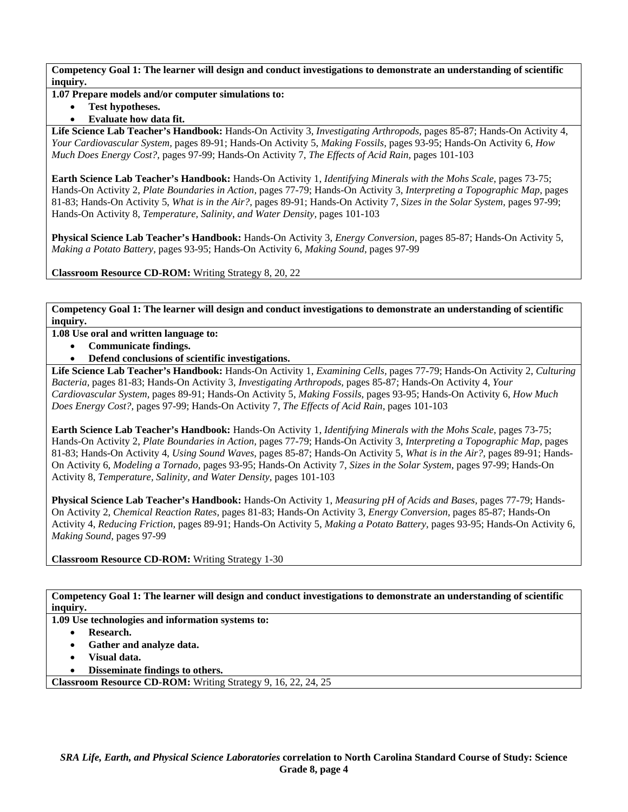### **1.07 Prepare models and/or computer simulations to:**

• **Test hypotheses.** 

## • **Evaluate how data fit.**

**Life Science Lab Teacher's Handbook:** Hands-On Activity 3, *Investigating Arthropods,* pages 85-87; Hands-On Activity 4, *Your Cardiovascular System,* pages 89-91; Hands-On Activity 5, *Making Fossils,* pages 93-95; Hands-On Activity 6, *How Much Does Energy Cost?,* pages 97-99; Hands-On Activity 7, *The Effects of Acid Rain,* pages 101-103

**Earth Science Lab Teacher's Handbook:** Hands-On Activity 1, *Identifying Minerals with the Mohs Scale,* pages 73-75; Hands-On Activity 2, *Plate Boundaries in Action,* pages 77-79; Hands-On Activity 3, *Interpreting a Topographic Map,* pages 81-83; Hands-On Activity 5, *What is in the Air?,* pages 89-91; Hands-On Activity 7, *Sizes in the Solar System,* pages 97-99; Hands-On Activity 8, *Temperature, Salinity, and Water Density,* pages 101-103

**Physical Science Lab Teacher's Handbook:** Hands-On Activity 3, *Energy Conversion,* pages 85-87; Hands-On Activity 5, *Making a Potato Battery,* pages 93-95; Hands-On Activity 6, *Making Sound,* pages 97-99

**Classroom Resource CD-ROM:** Writing Strategy 8, 20, 22

**Competency Goal 1: The learner will design and conduct investigations to demonstrate an understanding of scientific inquiry.** 

**1.08 Use oral and written language to:** 

- **Communicate findings.**
- **Defend conclusions of scientific investigations.**

**Life Science Lab Teacher's Handbook:** Hands-On Activity 1, *Examining Cells,* pages 77-79; Hands-On Activity 2, *Culturing Bacteria,* pages 81-83; Hands-On Activity 3, *Investigating Arthropods,* pages 85-87; Hands-On Activity 4, *Your Cardiovascular System,* pages 89-91; Hands-On Activity 5, *Making Fossils,* pages 93-95; Hands-On Activity 6, *How Much Does Energy Cost?,* pages 97-99; Hands-On Activity 7, *The Effects of Acid Rain,* pages 101-103

**Earth Science Lab Teacher's Handbook:** Hands-On Activity 1, *Identifying Minerals with the Mohs Scale,* pages 73-75; Hands-On Activity 2, *Plate Boundaries in Action,* pages 77-79; Hands-On Activity 3, *Interpreting a Topographic Map,* pages 81-83; Hands-On Activity 4, *Using Sound Waves,* pages 85-87; Hands-On Activity 5, *What is in the Air?,* pages 89-91; Hands-On Activity 6, *Modeling a Tornado,* pages 93-95; Hands-On Activity 7, *Sizes in the Solar System,* pages 97-99; Hands-On Activity 8, *Temperature, Salinity, and Water Density,* pages 101-103

**Physical Science Lab Teacher's Handbook:** Hands-On Activity 1, *Measuring pH of Acids and Bases,* pages 77-79; Hands-On Activity 2, *Chemical Reaction Rates,* pages 81-83; Hands-On Activity 3, *Energy Conversion,* pages 85-87; Hands-On Activity 4, *Reducing Friction,* pages 89-91; Hands-On Activity 5, *Making a Potato Battery,* pages 93-95; Hands-On Activity 6, *Making Sound,* pages 97-99

**Classroom Resource CD-ROM:** Writing Strategy 1-30

**Competency Goal 1: The learner will design and conduct investigations to demonstrate an understanding of scientific inquiry.** 

**1.09 Use technologies and information systems to:** 

- **Research.**
- **Gather and analyze data.**
- **Visual data.**
- **Disseminate findings to others.**

**Classroom Resource CD-ROM:** Writing Strategy 9, 16, 22, 24, 25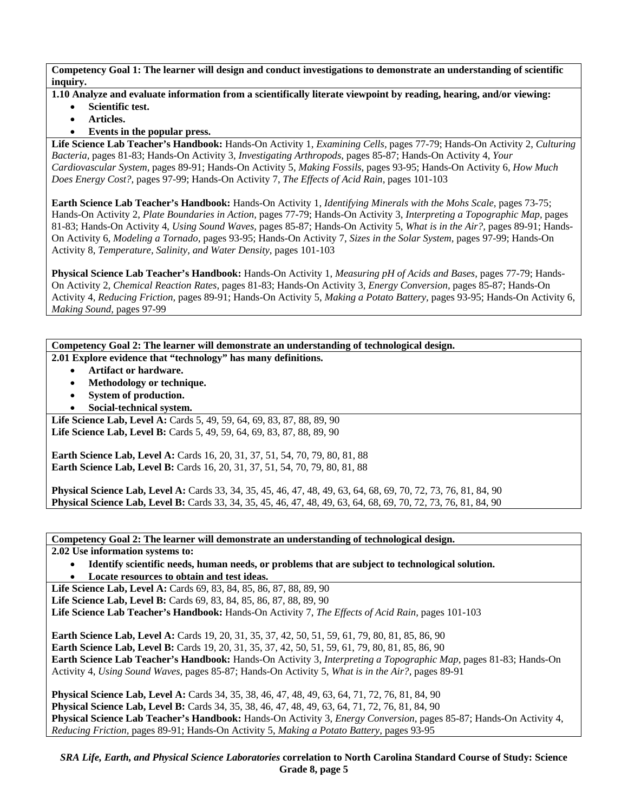- **1.10 Analyze and evaluate information from a scientifically literate viewpoint by reading, hearing, and/or viewing:** 
	- **Scientific test.**
	- **Articles.**
	- **Events in the popular press.**

**Life Science Lab Teacher's Handbook:** Hands-On Activity 1, *Examining Cells,* pages 77-79; Hands-On Activity 2, *Culturing Bacteria,* pages 81-83; Hands-On Activity 3, *Investigating Arthropods,* pages 85-87; Hands-On Activity 4, *Your Cardiovascular System,* pages 89-91; Hands-On Activity 5, *Making Fossils,* pages 93-95; Hands-On Activity 6, *How Much Does Energy Cost?,* pages 97-99; Hands-On Activity 7, *The Effects of Acid Rain,* pages 101-103

**Earth Science Lab Teacher's Handbook:** Hands-On Activity 1, *Identifying Minerals with the Mohs Scale,* pages 73-75; Hands-On Activity 2, *Plate Boundaries in Action,* pages 77-79; Hands-On Activity 3, *Interpreting a Topographic Map,* pages 81-83; Hands-On Activity 4, *Using Sound Waves,* pages 85-87; Hands-On Activity 5, *What is in the Air?,* pages 89-91; Hands-On Activity 6, *Modeling a Tornado,* pages 93-95; Hands-On Activity 7, *Sizes in the Solar System,* pages 97-99; Hands-On Activity 8, *Temperature, Salinity, and Water Density,* pages 101-103

**Physical Science Lab Teacher's Handbook:** Hands-On Activity 1, *Measuring pH of Acids and Bases,* pages 77-79; Hands-On Activity 2, *Chemical Reaction Rates,* pages 81-83; Hands-On Activity 3, *Energy Conversion,* pages 85-87; Hands-On Activity 4, *Reducing Friction,* pages 89-91; Hands-On Activity 5, *Making a Potato Battery,* pages 93-95; Hands-On Activity 6, *Making Sound,* pages 97-99

**Competency Goal 2: The learner will demonstrate an understanding of technological design. 2.01 Explore evidence that "technology" has many definitions.** 

- **Artifact or hardware.**
- **Methodology or technique.**
- **System of production.**
- **Social-technical system.**

Life Science Lab, Level A: Cards 5, 49, 59, 64, 69, 83, 87, 88, 89, 90 Life Science Lab, Level B: Cards 5, 49, 59, 64, 69, 83, 87, 88, 89, 90

**Earth Science Lab, Level A: Cards 16, 20, 31, 37, 51, 54, 70, 79, 80, 81, 88 Earth Science Lab, Level B:** Cards 16, 20, 31, 37, 51, 54, 70, 79, 80, 81, 88

**Physical Science Lab, Level A:** Cards 33, 34, 35, 45, 46, 47, 48, 49, 63, 64, 68, 69, 70, 72, 73, 76, 81, 84, 90 **Physical Science Lab, Level B:** Cards 33, 34, 35, 45, 46, 47, 48, 49, 63, 64, 68, 69, 70, 72, 73, 76, 81, 84, 90

**Competency Goal 2: The learner will demonstrate an understanding of technological design.** 

**2.02 Use information systems to:** 

• **Identify scientific needs, human needs, or problems that are subject to technological solution.**  • **Locate resources to obtain and test ideas.** 

**Life Science Lab, Level A: Cards 69, 83, 84, 85, 86, 87, 88, 89, 90** Life Science Lab, Level B: Cards 69, 83, 84, 85, 86, 87, 88, 89, 90 **Life Science Lab Teacher's Handbook:** Hands-On Activity 7, *The Effects of Acid Rain,* pages 101-103

**Earth Science Lab, Level A:** Cards 19, 20, 31, 35, 37, 42, 50, 51, 59, 61, 79, 80, 81, 85, 86, 90 **Earth Science Lab, Level B:** Cards 19, 20, 31, 35, 37, 42, 50, 51, 59, 61, 79, 80, 81, 85, 86, 90 **Earth Science Lab Teacher's Handbook:** Hands-On Activity 3, *Interpreting a Topographic Map,* pages 81-83; Hands-On Activity 4, *Using Sound Waves,* pages 85-87; Hands-On Activity 5, *What is in the Air?,* pages 89-91

**Physical Science Lab, Level A:** Cards 34, 35, 38, 46, 47, 48, 49, 63, 64, 71, 72, 76, 81, 84, 90 **Physical Science Lab, Level B:** Cards 34, 35, 38, 46, 47, 48, 49, 63, 64, 71, 72, 76, 81, 84, 90 **Physical Science Lab Teacher's Handbook:** Hands-On Activity 3, *Energy Conversion,* pages 85-87; Hands-On Activity 4, *Reducing Friction,* pages 89-91; Hands-On Activity 5, *Making a Potato Battery,* pages 93-95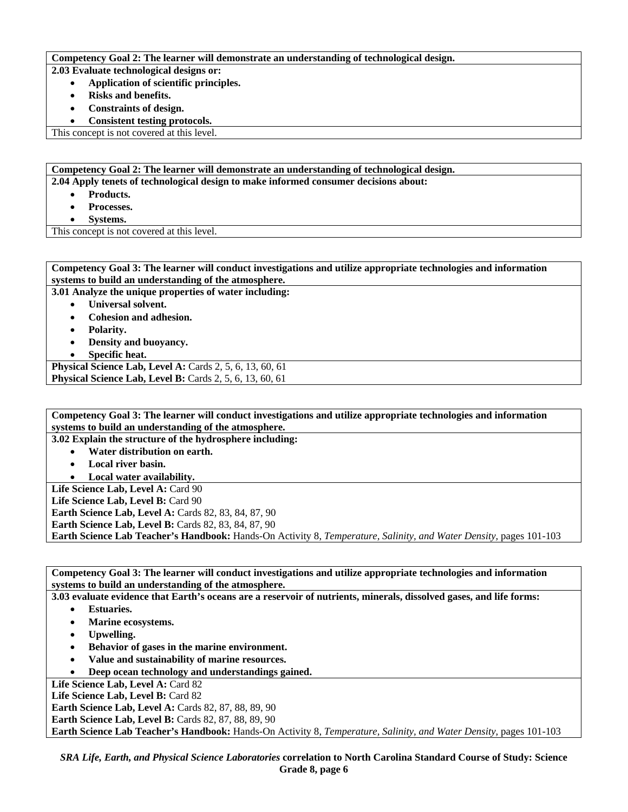#### **Competency Goal 2: The learner will demonstrate an understanding of technological design.**

**2.03 Evaluate technological designs or:** 

- **Application of scientific principles.** 
	- **Risks and benefits.**
	- **Constraints of design.**
- **Consistent testing protocols.**

This concept is not covered at this level.

**Competency Goal 2: The learner will demonstrate an understanding of technological design. 2.04 Apply tenets of technological design to make informed consumer decisions about:** 

- **Products.**
- **Processes.**
- **Systems.**

This concept is not covered at this level.

| Competency Goal 3: The learner will conduct investigations and utilize appropriate technologies and information |
|-----------------------------------------------------------------------------------------------------------------|
| systems to build an understanding of the atmosphere.                                                            |
| 3.01 Analyze the unique properties of water including:                                                          |
| Universal solvent.                                                                                              |
| Cohesion and adhesion.<br>$\bullet$                                                                             |
| <b>Polarity.</b>                                                                                                |
| Density and buoyancy.                                                                                           |
| Specific heat.                                                                                                  |
| Physical Science Lab, Level A: Cards 2, 5, 6, 13, 60, 61                                                        |
| Physical Science Lab, Level B: Cards 2, 5, 6, 13, 60, 61                                                        |

**Competency Goal 3: The learner will conduct investigations and utilize appropriate technologies and information systems to build an understanding of the atmosphere.** 

**3.02 Explain the structure of the hydrosphere including:** 

- **Water distribution on earth.**
- **Local river basin.**
- **Local water availability.**

Life Science Lab, Level A: Card 90 Life Science Lab, Level B: Card 90

**Earth Science Lab, Level A: Cards 82, 83, 84, 87, 90** 

**Earth Science Lab, Level B: Cards 82, 83, 84, 87, 90** 

**Earth Science Lab Teacher's Handbook:** Hands-On Activity 8, *Temperature, Salinity, and Water Density,* pages 101-103

**Competency Goal 3: The learner will conduct investigations and utilize appropriate technologies and information systems to build an understanding of the atmosphere.** 

**3.03 evaluate evidence that Earth's oceans are a reservoir of nutrients, minerals, dissolved gases, and life forms:** 

- **Estuaries.**
- **Marine ecosystems.**
- **Upwelling.**
- **Behavior of gases in the marine environment.**
- **Value and sustainability of marine resources.**
- **Deep ocean technology and understandings gained.**

Life Science Lab, Level A: Card 82

Life Science Lab, Level B: Card 82

**Earth Science Lab, Level A: Cards 82, 87, 88, 89, 90** 

**Earth Science Lab, Level B: Cards 82, 87, 88, 89, 90** 

**Earth Science Lab Teacher's Handbook:** Hands-On Activity 8, *Temperature, Salinity, and Water Density,* pages 101-103

*SRA Life, Earth, and Physical Science Laboratories* **correlation to North Carolina Standard Course of Study: Science Grade 8, page 6**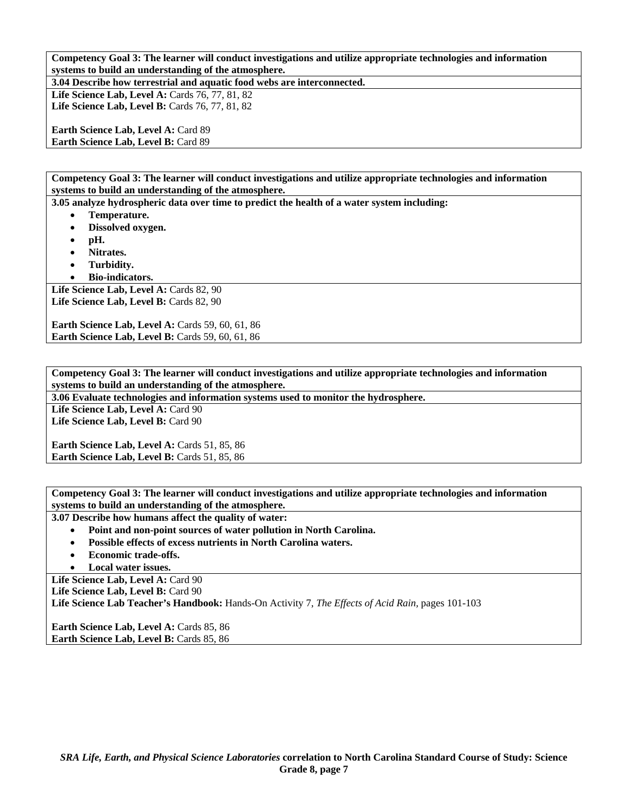**Competency Goal 3: The learner will conduct investigations and utilize appropriate technologies and information systems to build an understanding of the atmosphere.** 

**3.04 Describe how terrestrial and aquatic food webs are interconnected. Life Science Lab, Level A: Cards 76, 77, 81, 82** 

Life Science Lab, Level B: Cards 76, 77, 81, 82

Earth Science Lab, Level A: Card 89 **Earth Science Lab, Level B:** Card 89

**Competency Goal 3: The learner will conduct investigations and utilize appropriate technologies and information systems to build an understanding of the atmosphere.** 

**3.05 analyze hydrospheric data over time to predict the health of a water system including:** 

- **Temperature.**
- **Dissolved oxygen.**
- **pH.**
- **Nitrates.**
- **Turbidity.**
- **Bio-indicators.**

Life Science Lab, Level A: Cards 82, 90 Life Science Lab, Level B: Cards 82, 90

**Earth Science Lab, Level A: Cards 59, 60, 61, 86 Earth Science Lab, Level B: Cards 59, 60, 61, 86** 

**Competency Goal 3: The learner will conduct investigations and utilize appropriate technologies and information systems to build an understanding of the atmosphere.** 

**3.06 Evaluate technologies and information systems used to monitor the hydrosphere.** 

Life Science Lab, Level A: Card 90 Life Science Lab, Level B: Card 90

**Earth Science Lab, Level A: Cards 51, 85, 86** Earth Science Lab, Level B: Cards 51, 85, 86

**Competency Goal 3: The learner will conduct investigations and utilize appropriate technologies and information systems to build an understanding of the atmosphere.** 

**3.07 Describe how humans affect the quality of water:** 

- **Point and non-point sources of water pollution in North Carolina.**
- **Possible effects of excess nutrients in North Carolina waters.**
- **Economic trade-offs.**
- **Local water issues.**

Life Science Lab, Level A: Card 90

Life Science Lab, Level B: Card 90

**Life Science Lab Teacher's Handbook:** Hands-On Activity 7, *The Effects of Acid Rain,* pages 101-103

**Earth Science Lab, Level A: Cards 85, 86 Earth Science Lab, Level B: Cards 85, 86**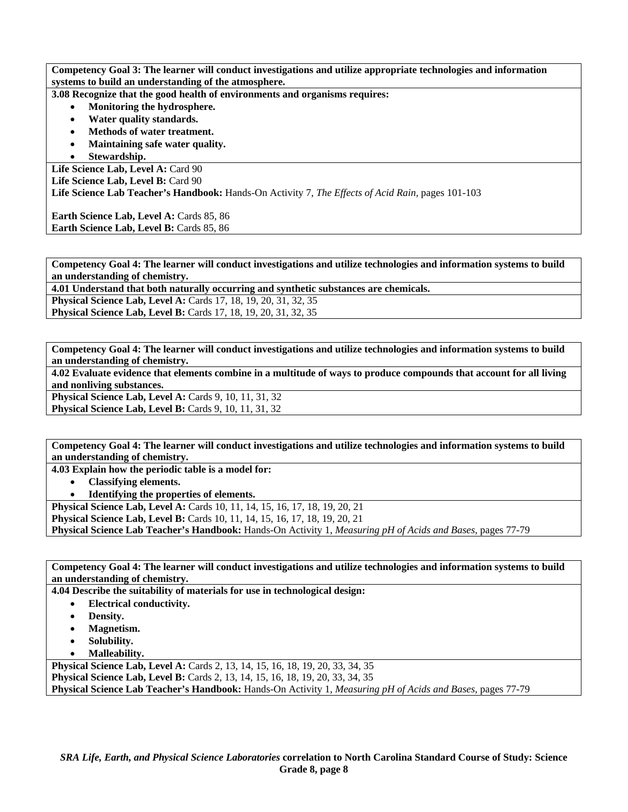**Competency Goal 3: The learner will conduct investigations and utilize appropriate technologies and information systems to build an understanding of the atmosphere.** 

**3.08 Recognize that the good health of environments and organisms requires:** 

- **Monitoring the hydrosphere.**
- **Water quality standards.**
- **Methods of water treatment.**
- **Maintaining safe water quality.**
- **Stewardship.**

Life Science Lab, Level A: Card 90 Life Science Lab, Level B: Card 90 **Life Science Lab Teacher's Handbook:** Hands-On Activity 7, *The Effects of Acid Rain,* pages 101-103

**Earth Science Lab, Level A: Cards 85, 86** Earth Science Lab, Level B: Cards 85, 86

**Competency Goal 4: The learner will conduct investigations and utilize technologies and information systems to build an understanding of chemistry.** 

**4.01 Understand that both naturally occurring and synthetic substances are chemicals.** 

**Physical Science Lab, Level A:** Cards 17, 18, 19, 20, 31, 32, 35 **Physical Science Lab, Level B:** Cards 17, 18, 19, 20, 31, 32, 35

**Competency Goal 4: The learner will conduct investigations and utilize technologies and information systems to build an understanding of chemistry.** 

**4.02 Evaluate evidence that elements combine in a multitude of ways to produce compounds that account for all living and nonliving substances.** 

**Physical Science Lab, Level A: Cards 9, 10, 11, 31, 32 Physical Science Lab, Level B: Cards 9, 10, 11, 31, 32** 

**Competency Goal 4: The learner will conduct investigations and utilize technologies and information systems to build an understanding of chemistry.** 

**4.03 Explain how the periodic table is a model for:** 

• **Classifying elements.** 

• **Identifying the properties of elements.** 

**Physical Science Lab, Level A: Cards 10, 11, 14, 15, 16, 17, 18, 19, 20, 21** 

**Physical Science Lab, Level B:** Cards 10, 11, 14, 15, 16, 17, 18, 19, 20, 21

**Physical Science Lab Teacher's Handbook:** Hands-On Activity 1, *Measuring pH of Acids and Bases,* pages 77-79

**Competency Goal 4: The learner will conduct investigations and utilize technologies and information systems to build an understanding of chemistry.** 

**4.04 Describe the suitability of materials for use in technological design:** 

- **Electrical conductivity.** 
	- **Density.**
- **Magnetism.**
- **Solubility.**
- **Malleability.**

**Physical Science Lab, Level A:** Cards 2, 13, 14, 15, 16, 18, 19, 20, 33, 34, 35 **Physical Science Lab, Level B:** Cards 2, 13, 14, 15, 16, 18, 19, 20, 33, 34, 35 **Physical Science Lab Teacher's Handbook:** Hands-On Activity 1, *Measuring pH of Acids and Bases,* pages 77-79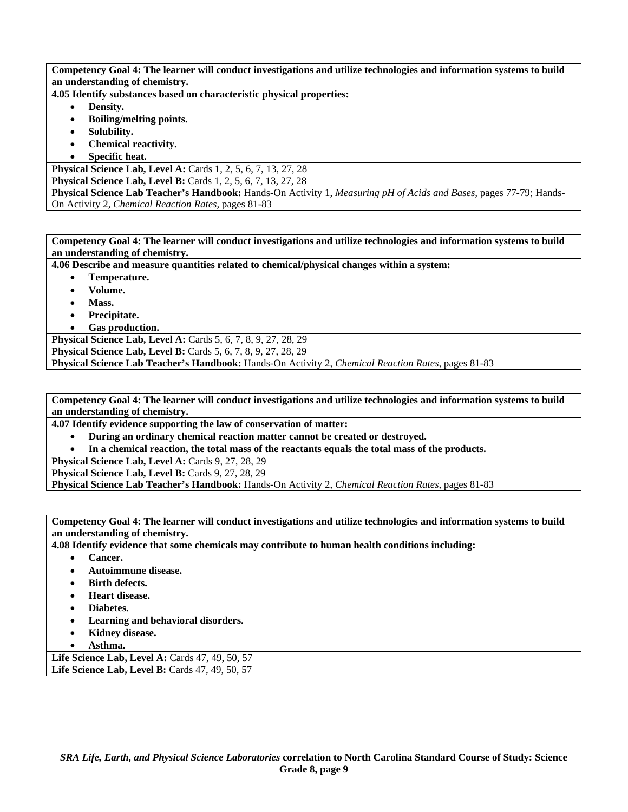**Competency Goal 4: The learner will conduct investigations and utilize technologies and information systems to build an understanding of chemistry.** 

**4.05 Identify substances based on characteristic physical properties:** 

- **Density.**
- **Boiling/melting points.**
- **Solubility.**
- **Chemical reactivity.**
- **Specific heat.**

**Physical Science Lab, Level A: Cards 1, 2, 5, 6, 7, 13, 27, 28 Physical Science Lab, Level B:** Cards 1, 2, 5, 6, 7, 13, 27, 28 **Physical Science Lab Teacher's Handbook:** Hands-On Activity 1, *Measuring pH of Acids and Bases,* pages 77-79; Hands-On Activity 2, *Chemical Reaction Rates,* pages 81-83

**Competency Goal 4: The learner will conduct investigations and utilize technologies and information systems to build an understanding of chemistry.** 

**4.06 Describe and measure quantities related to chemical/physical changes within a system:** 

- **Temperature.**
- **Volume.**
- **Mass.**
- **Precipitate.**
- **Gas production.**

**Physical Science Lab, Level A: Cards 5, 6, 7, 8, 9, 27, 28, 29 Physical Science Lab, Level B:** Cards 5, 6, 7, 8, 9, 27, 28, 29 **Physical Science Lab Teacher's Handbook:** Hands-On Activity 2, *Chemical Reaction Rates,* pages 81-83

**Competency Goal 4: The learner will conduct investigations and utilize technologies and information systems to build an understanding of chemistry.** 

**4.07 Identify evidence supporting the law of conservation of matter:** 

- **During an ordinary chemical reaction matter cannot be created or destroyed.**
- **In a chemical reaction, the total mass of the reactants equals the total mass of the products.**

Physical Science Lab, Level A: Cards 9, 27, 28, 29

Physical Science Lab, Level B: Cards 9, 27, 28, 29

**Physical Science Lab Teacher's Handbook:** Hands-On Activity 2, *Chemical Reaction Rates,* pages 81-83

**Competency Goal 4: The learner will conduct investigations and utilize technologies and information systems to build an understanding of chemistry.** 

**4.08 Identify evidence that some chemicals may contribute to human health conditions including:** 

- **Cancer.**
- **Autoimmune disease.**
- **Birth defects.**
- **Heart disease.**
- **Diabetes.**
- **Learning and behavioral disorders.**
- **Kidney disease.**
- **Asthma.**

**Life Science Lab, Level A: Cards 47, 49, 50, 57 Life Science Lab, Level B:** Cards 47, 49, 50, 57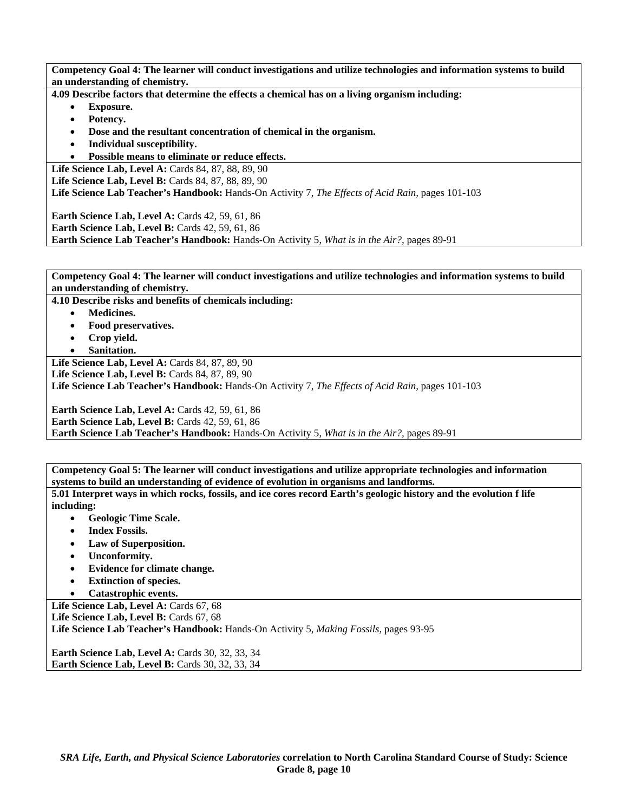**Competency Goal 4: The learner will conduct investigations and utilize technologies and information systems to build an understanding of chemistry.** 

**4.09 Describe factors that determine the effects a chemical has on a living organism including:** 

- **Exposure.**
- **Potency.**
- **Dose and the resultant concentration of chemical in the organism.**
- **Individual susceptibility.**
- **Possible means to eliminate or reduce effects.**

Life Science Lab, Level A: Cards 84, 87, 88, 89, 90 Life Science Lab, Level B: Cards 84, 87, 88, 89, 90 **Life Science Lab Teacher's Handbook:** Hands-On Activity 7, *The Effects of Acid Rain,* pages 101-103

**Earth Science Lab, Level A: Cards 42, 59, 61, 86 Earth Science Lab, Level B: Cards 42, 59, 61, 86 Earth Science Lab Teacher's Handbook:** Hands-On Activity 5, *What is in the Air?,* pages 89-91

**Competency Goal 4: The learner will conduct investigations and utilize technologies and information systems to build an understanding of chemistry.** 

**4.10 Describe risks and benefits of chemicals including:** 

- **Medicines.**
- **Food preservatives.**
- **Crop yield.**
- **Sanitation.**

**Life Science Lab, Level A:** Cards 84, 87, 89, 90

**Life Science Lab, Level B: Cards 84, 87, 89, 90** 

**Life Science Lab Teacher's Handbook:** Hands-On Activity 7, *The Effects of Acid Rain,* pages 101-103

**Earth Science Lab, Level A: Cards 42, 59, 61, 86 Earth Science Lab, Level B:** Cards 42, 59, 61, 86 **Earth Science Lab Teacher's Handbook:** Hands-On Activity 5, *What is in the Air?,* pages 89-91

**Competency Goal 5: The learner will conduct investigations and utilize appropriate technologies and information systems to build an understanding of evidence of evolution in organisms and landforms.** 

**5.01 Interpret ways in which rocks, fossils, and ice cores record Earth's geologic history and the evolution f life including:** 

- **Geologic Time Scale.**
- **Index Fossils.**
- **Law of Superposition.**
- **Unconformity.**
- **Evidence for climate change.**
- **Extinction of species.**

• **Catastrophic events.** 

Life Science Lab, Level A: Cards 67, 68 Life Science Lab, Level B: Cards 67, 68 **Life Science Lab Teacher's Handbook:** Hands-On Activity 5, *Making Fossils,* pages 93-95

**Earth Science Lab, Level A: Cards 30, 32, 33, 34 Earth Science Lab, Level B: Cards 30, 32, 33, 34**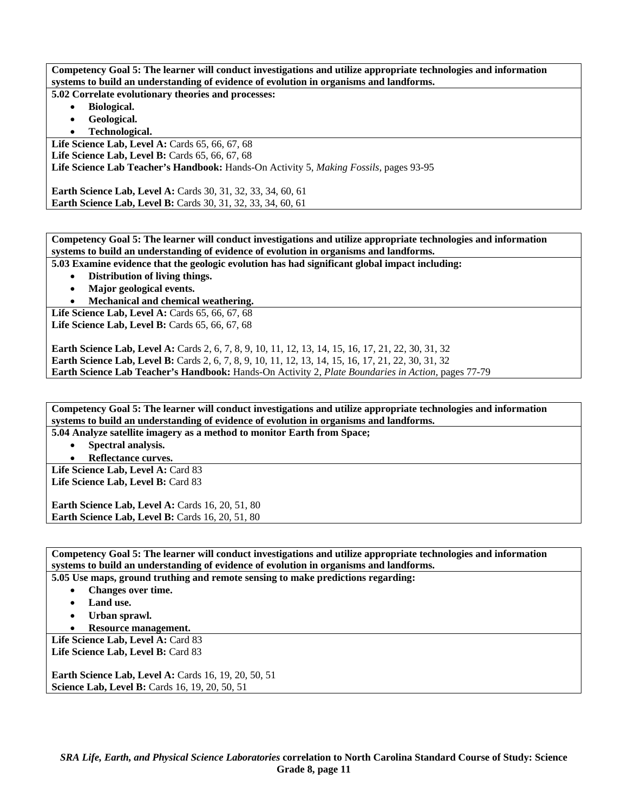**Competency Goal 5: The learner will conduct investigations and utilize appropriate technologies and information systems to build an understanding of evidence of evolution in organisms and landforms.** 

**5.02 Correlate evolutionary theories and processes:** 

- **Biological.**
- **Geological.**
- **Technological.**

Life Science Lab, Level A: Cards 65, 66, 67, 68

Life Science Lab, Level B: Cards 65, 66, 67, 68

**Life Science Lab Teacher's Handbook:** Hands-On Activity 5, *Making Fossils,* pages 93-95

**Earth Science Lab, Level A:** Cards 30, 31, 32, 33, 34, 60, 61 **Earth Science Lab, Level B:** Cards 30, 31, 32, 33, 34, 60, 61

**Competency Goal 5: The learner will conduct investigations and utilize appropriate technologies and information systems to build an understanding of evidence of evolution in organisms and landforms.** 

**5.03 Examine evidence that the geologic evolution has had significant global impact including:** 

- **Distribution of living things.**
- **Major geological events.**
- **Mechanical and chemical weathering.**

Life Science Lab, Level A: Cards 65, 66, 67, 68 Life Science Lab, Level B: Cards 65, 66, 67, 68

**Earth Science Lab, Level A:** Cards 2, 6, 7, 8, 9, 10, 11, 12, 13, 14, 15, 16, 17, 21, 22, 30, 31, 32 **Earth Science Lab, Level B:** Cards 2, 6, 7, 8, 9, 10, 11, 12, 13, 14, 15, 16, 17, 21, 22, 30, 31, 32 **Earth Science Lab Teacher's Handbook:** Hands-On Activity 2, *Plate Boundaries in Action,* pages 77-79

**Competency Goal 5: The learner will conduct investigations and utilize appropriate technologies and information systems to build an understanding of evidence of evolution in organisms and landforms. 5.04 Analyze satellite imagery as a method to monitor Earth from Space;** 

• **Spectral analysis.** 

• **Reflectance curves.** 

Life Science Lab, Level A: Card 83 Life Science Lab, Level B: Card 83

**Earth Science Lab, Level A: Cards 16, 20, 51, 80 Earth Science Lab, Level B: Cards 16, 20, 51, 80** 

**Competency Goal 5: The learner will conduct investigations and utilize appropriate technologies and information systems to build an understanding of evidence of evolution in organisms and landforms.** 

**5.05 Use maps, ground truthing and remote sensing to make predictions regarding:** 

- **Changes over time.** 
	- Land use.
- **Urban sprawl.**
- **Resource management.**

Life Science Lab, Level A: Card 83 Life Science Lab, Level B: Card 83

**Earth Science Lab, Level A: Cards 16, 19, 20, 50, 51 Science Lab, Level B:** Cards 16, 19, 20, 50, 51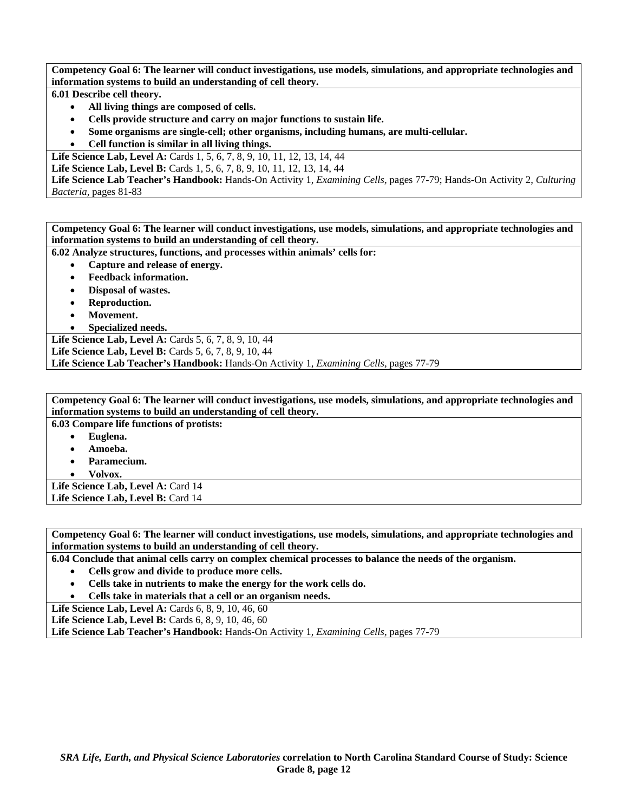**Competency Goal 6: The learner will conduct investigations, use models, simulations, and appropriate technologies and information systems to build an understanding of cell theory.** 

**6.01 Describe cell theory.** 

- **All living things are composed of cells.**
- **Cells provide structure and carry on major functions to sustain life.**
- **Some organisms are single-cell; other organisms, including humans, are multi-cellular.**
- **Cell function is similar in all living things.**

Life Science Lab, Level A: Cards 1, 5, 6, 7, 8, 9, 10, 11, 12, 13, 14, 44

Life Science Lab, Level B: Cards 1, 5, 6, 7, 8, 9, 10, 11, 12, 13, 14, 44

**Life Science Lab Teacher's Handbook:** Hands-On Activity 1, *Examining Cells,* pages 77-79; Hands-On Activity 2, *Culturing Bacteria,* pages 81-83

**Competency Goal 6: The learner will conduct investigations, use models, simulations, and appropriate technologies and information systems to build an understanding of cell theory.** 

**6.02 Analyze structures, functions, and processes within animals' cells for:** 

- **Capture and release of energy.**
- **Feedback information.**
- **Disposal of wastes.**
- **Reproduction.**
- **Movement.**
- **Specialized needs.**

Life Science Lab, Level A: Cards 5, 6, 7, 8, 9, 10, 44 **Life Science Lab, Level B:** Cards 5, 6, 7, 8, 9, 10, 44 **Life Science Lab Teacher's Handbook:** Hands-On Activity 1, *Examining Cells,* pages 77-79

**Competency Goal 6: The learner will conduct investigations, use models, simulations, and appropriate technologies and information systems to build an understanding of cell theory.** 

**6.03 Compare life functions of protists:** 

- **Euglena.**
- **Amoeba.**
- **Paramecium.**

• **Volvox.** 

Life Science Lab, Level A: Card 14 Life Science Lab, Level B: Card 14

**Competency Goal 6: The learner will conduct investigations, use models, simulations, and appropriate technologies and information systems to build an understanding of cell theory.** 

**6.04 Conclude that animal cells carry on complex chemical processes to balance the needs of the organism.** 

- **Cells grow and divide to produce more cells.**
- **Cells take in nutrients to make the energy for the work cells do.**
- **Cells take in materials that a cell or an organism needs.**

Life Science Lab, Level A: Cards 6, 8, 9, 10, 46, 60

Life Science Lab, Level B: Cards 6, 8, 9, 10, 46, 60

**Life Science Lab Teacher's Handbook:** Hands-On Activity 1, *Examining Cells,* pages 77-79